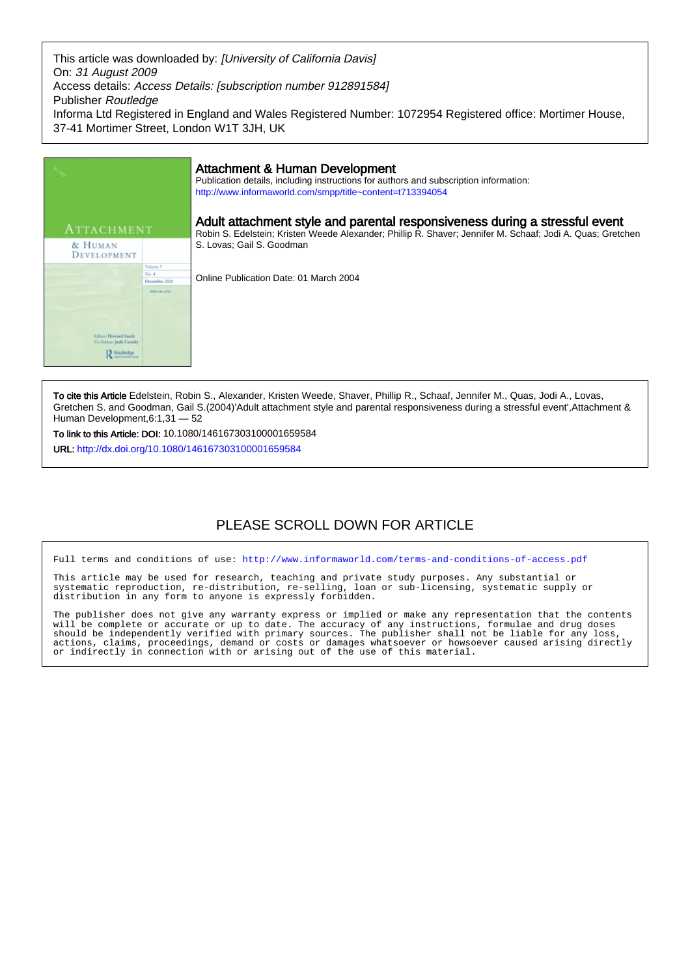This article was downloaded by: [University of California Davis] On: 31 August 2009 Access details: Access Details: [subscription number 912891584] Publisher Routledge Informa Ltd Registered in England and Wales Registered Number: 1072954 Registered office: Mortimer House, 37-41 Mortimer Street, London W1T 3JH, UK



To cite this Article Edelstein, Robin S., Alexander, Kristen Weede, Shaver, Phillip R., Schaaf, Jennifer M., Quas, Jodi A., Lovas, Gretchen S. and Goodman, Gail S.(2004)'Adult attachment style and parental responsiveness during a stressful event',Attachment & Human Development,6:1,31 — 52

To link to this Article: DOI: 10.1080/146167303100001659584 URL: <http://dx.doi.org/10.1080/146167303100001659584>

## PLEASE SCROLL DOWN FOR ARTICLE

Full terms and conditions of use:<http://www.informaworld.com/terms-and-conditions-of-access.pdf>

This article may be used for research, teaching and private study purposes. Any substantial or systematic reproduction, re-distribution, re-selling, loan or sub-licensing, systematic supply or distribution in any form to anyone is expressly forbidden.

The publisher does not give any warranty express or implied or make any representation that the contents will be complete or accurate or up to date. The accuracy of any instructions, formulae and drug doses should be independently verified with primary sources. The publisher shall not be liable for any loss, actions, claims, proceedings, demand or costs or damages whatsoever or howsoever caused arising directly or indirectly in connection with or arising out of the use of this material.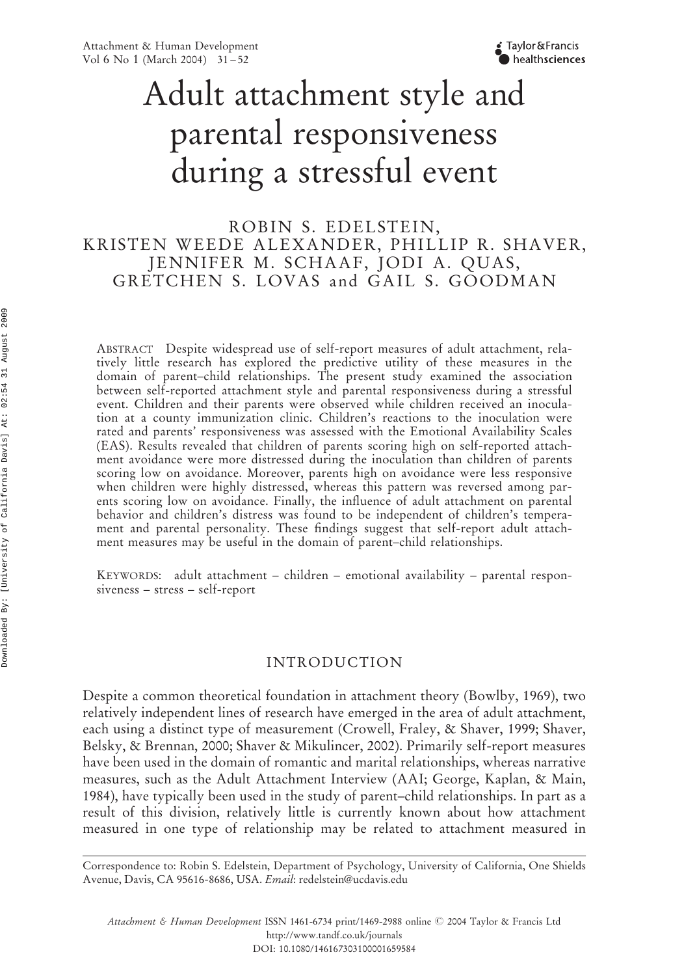Taylor & Francis healthsciences

# Adult attachment style and parental responsiveness during a stressful event

## ROBIN S. EDELSTEIN, KRISTEN WEEDE ALEXANDER, PHILLIP R. SHAVER, JENNIFER M. SCHAAF, JODI A. QUAS, GRETCHEN S. LOVAS and GAIL S. GOODMAN

ABSTRACT Despite widespread use of self-report measures of adult attachment, relatively little research has explored the predictive utility of these measures in the domain of parent–child relationships. The present study examined the association between self-reported attachment style and parental responsiveness during a stressful event. Children and their parents were observed while children received an inoculation at a county immunization clinic. Children's reactions to the inoculation were rated and parents' responsiveness was assessed with the Emotional Availability Scales (EAS). Results revealed that children of parents scoring high on self-reported attachment avoidance were more distressed during the inoculation than children of parents scoring low on avoidance. Moreover, parents high on avoidance were less responsive when children were highly distressed, whereas this pattern was reversed among parents scoring low on avoidance. Finally, the influence of adult attachment on parental behavior and children's distress was found to be independent of children's temperament and parental personality. These findings suggest that self-report adult attachment measures may be useful in the domain of parent–child relationships.

KEYWORDS: adult attachment – children – emotional availability – parental responsiveness – stress – self-report

### INTRODUCTION

Despite a common theoretical foundation in attachment theory (Bowlby, 1969), two relatively independent lines of research have emerged in the area of adult attachment, each using a distinct type of measurement (Crowell, Fraley, & Shaver, 1999; Shaver, Belsky, & Brennan, 2000; Shaver & Mikulincer, 2002). Primarily self-report measures have been used in the domain of romantic and marital relationships, whereas narrative measures, such as the Adult Attachment Interview (AAI; George, Kaplan, & Main, 1984), have typically been used in the study of parent–child relationships. In part as a result of this division, relatively little is currently known about how attachment measured in one type of relationship may be related to attachment measured in

Correspondence to: Robin S. Edelstein, Department of Psychology, University of California, One Shields Avenue, Davis, CA 95616-8686, USA. Email: redelstein@ucdavis.edu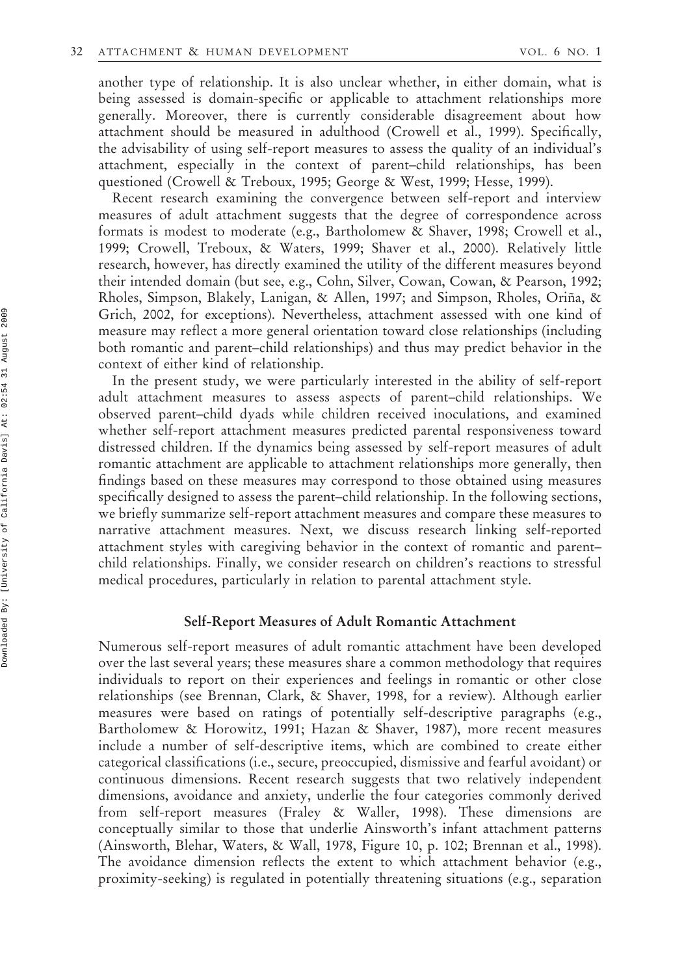another type of relationship. It is also unclear whether, in either domain, what is being assessed is domain-specific or applicable to attachment relationships more generally. Moreover, there is currently considerable disagreement about how attachment should be measured in adulthood (Crowell et al., 1999). Specifically, the advisability of using self-report measures to assess the quality of an individual's attachment, especially in the context of parent–child relationships, has been questioned (Crowell & Treboux, 1995; George & West, 1999; Hesse, 1999).

Recent research examining the convergence between self-report and interview measures of adult attachment suggests that the degree of correspondence across formats is modest to moderate (e.g., Bartholomew & Shaver, 1998; Crowell et al., 1999; Crowell, Treboux, & Waters, 1999; Shaver et al., 2000). Relatively little research, however, has directly examined the utility of the different measures beyond their intended domain (but see, e.g., Cohn, Silver, Cowan, Cowan, & Pearson, 1992; Rholes, Simpson, Blakely, Lanigan, & Allen, 1997; and Simpson, Rholes, Oriña, & Grich, 2002, for exceptions). Nevertheless, attachment assessed with one kind of measure may reflect a more general orientation toward close relationships (including both romantic and parent–child relationships) and thus may predict behavior in the context of either kind of relationship.

In the present study, we were particularly interested in the ability of self-report adult attachment measures to assess aspects of parent–child relationships. We observed parent–child dyads while children received inoculations, and examined whether self-report attachment measures predicted parental responsiveness toward distressed children. If the dynamics being assessed by self-report measures of adult romantic attachment are applicable to attachment relationships more generally, then findings based on these measures may correspond to those obtained using measures specifically designed to assess the parent–child relationship. In the following sections, we briefly summarize self-report attachment measures and compare these measures to narrative attachment measures. Next, we discuss research linking self-reported attachment styles with caregiving behavior in the context of romantic and parent– child relationships. Finally, we consider research on children's reactions to stressful medical procedures, particularly in relation to parental attachment style.

#### Self-Report Measures of Adult Romantic Attachment

Numerous self-report measures of adult romantic attachment have been developed over the last several years; these measures share a common methodology that requires individuals to report on their experiences and feelings in romantic or other close relationships (see Brennan, Clark, & Shaver, 1998, for a review). Although earlier measures were based on ratings of potentially self-descriptive paragraphs (e.g., Bartholomew & Horowitz, 1991; Hazan & Shaver, 1987), more recent measures include a number of self-descriptive items, which are combined to create either categorical classifications (i.e., secure, preoccupied, dismissive and fearful avoidant) or continuous dimensions. Recent research suggests that two relatively independent dimensions, avoidance and anxiety, underlie the four categories commonly derived from self-report measures (Fraley & Waller, 1998). These dimensions are conceptually similar to those that underlie Ainsworth's infant attachment patterns (Ainsworth, Blehar, Waters, & Wall, 1978, Figure 10, p. 102; Brennan et al., 1998). The avoidance dimension reflects the extent to which attachment behavior (e.g., proximity-seeking) is regulated in potentially threatening situations (e.g., separation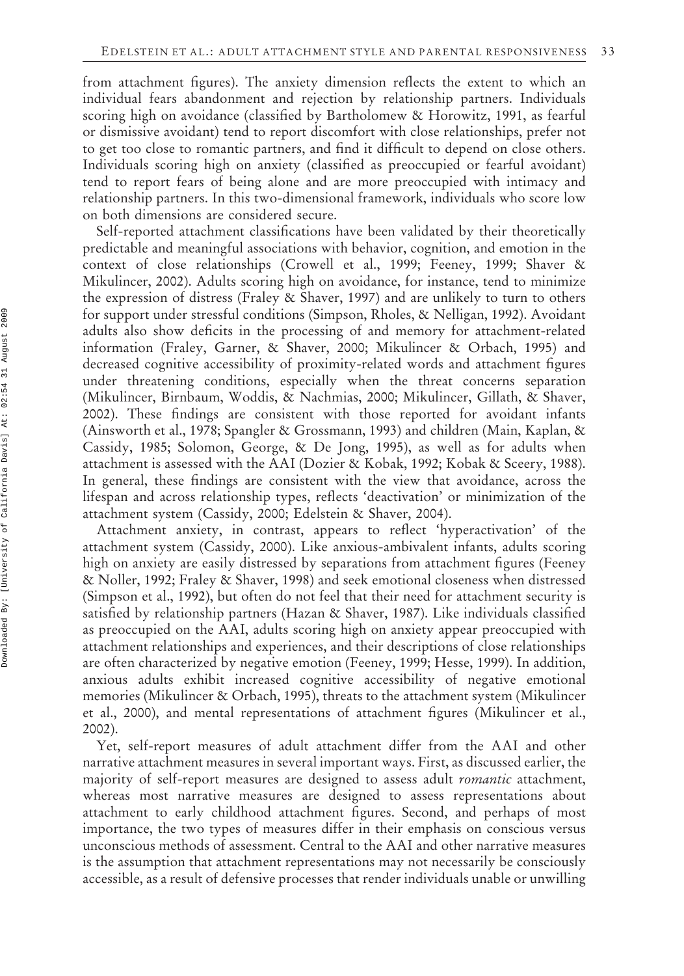from attachment figures). The anxiety dimension reflects the extent to which an individual fears abandonment and rejection by relationship partners. Individuals scoring high on avoidance (classified by Bartholomew & Horowitz, 1991, as fearful or dismissive avoidant) tend to report discomfort with close relationships, prefer not to get too close to romantic partners, and find it difficult to depend on close others. Individuals scoring high on anxiety (classified as preoccupied or fearful avoidant) tend to report fears of being alone and are more preoccupied with intimacy and relationship partners. In this two-dimensional framework, individuals who score low on both dimensions are considered secure.

Self-reported attachment classifications have been validated by their theoretically predictable and meaningful associations with behavior, cognition, and emotion in the context of close relationships (Crowell et al., 1999; Feeney, 1999; Shaver & Mikulincer, 2002). Adults scoring high on avoidance, for instance, tend to minimize the expression of distress (Fraley & Shaver, 1997) and are unlikely to turn to others for support under stressful conditions (Simpson, Rholes, & Nelligan, 1992). Avoidant adults also show deficits in the processing of and memory for attachment-related information (Fraley, Garner, & Shaver, 2000; Mikulincer & Orbach, 1995) and decreased cognitive accessibility of proximity-related words and attachment figures under threatening conditions, especially when the threat concerns separation (Mikulincer, Birnbaum, Woddis, & Nachmias, 2000; Mikulincer, Gillath, & Shaver, 2002). These findings are consistent with those reported for avoidant infants (Ainsworth et al., 1978; Spangler & Grossmann, 1993) and children (Main, Kaplan, & Cassidy, 1985; Solomon, George, & De Jong, 1995), as well as for adults when attachment is assessed with the AAI (Dozier & Kobak, 1992; Kobak & Sceery, 1988). In general, these findings are consistent with the view that avoidance, across the lifespan and across relationship types, reflects 'deactivation' or minimization of the attachment system (Cassidy, 2000; Edelstein & Shaver, 2004).

Attachment anxiety, in contrast, appears to reflect 'hyperactivation' of the attachment system (Cassidy, 2000). Like anxious-ambivalent infants, adults scoring high on anxiety are easily distressed by separations from attachment figures (Feeney & Noller, 1992; Fraley & Shaver, 1998) and seek emotional closeness when distressed (Simpson et al., 1992), but often do not feel that their need for attachment security is satisfied by relationship partners (Hazan & Shaver, 1987). Like individuals classified as preoccupied on the AAI, adults scoring high on anxiety appear preoccupied with attachment relationships and experiences, and their descriptions of close relationships are often characterized by negative emotion (Feeney, 1999; Hesse, 1999). In addition, anxious adults exhibit increased cognitive accessibility of negative emotional memories (Mikulincer & Orbach, 1995), threats to the attachment system (Mikulincer et al., 2000), and mental representations of attachment figures (Mikulincer et al., 2002).

Yet, self-report measures of adult attachment differ from the AAI and other narrative attachment measures in several important ways. First, as discussed earlier, the majority of self-report measures are designed to assess adult romantic attachment, whereas most narrative measures are designed to assess representations about attachment to early childhood attachment figures. Second, and perhaps of most importance, the two types of measures differ in their emphasis on conscious versus unconscious methods of assessment. Central to the AAI and other narrative measures is the assumption that attachment representations may not necessarily be consciously accessible, as a result of defensive processes that render individuals unable or unwilling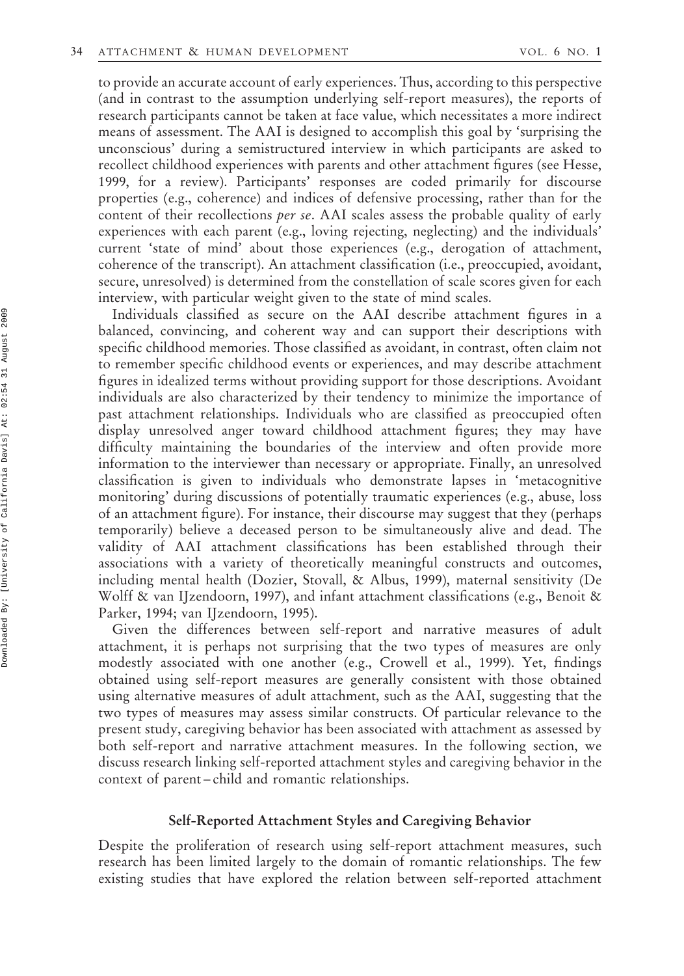to provide an accurate account of early experiences. Thus, according to this perspective (and in contrast to the assumption underlying self-report measures), the reports of research participants cannot be taken at face value, which necessitates a more indirect means of assessment. The AAI is designed to accomplish this goal by 'surprising the unconscious' during a semistructured interview in which participants are asked to recollect childhood experiences with parents and other attachment figures (see Hesse, 1999, for a review). Participants' responses are coded primarily for discourse properties (e.g., coherence) and indices of defensive processing, rather than for the content of their recollections per se. AAI scales assess the probable quality of early experiences with each parent (e.g., loving rejecting, neglecting) and the individuals' current 'state of mind' about those experiences (e.g., derogation of attachment, coherence of the transcript). An attachment classification (i.e., preoccupied, avoidant, secure, unresolved) is determined from the constellation of scale scores given for each interview, with particular weight given to the state of mind scales.

Individuals classified as secure on the AAI describe attachment figures in a balanced, convincing, and coherent way and can support their descriptions with specific childhood memories. Those classified as avoidant, in contrast, often claim not to remember specific childhood events or experiences, and may describe attachment figures in idealized terms without providing support for those descriptions. Avoidant individuals are also characterized by their tendency to minimize the importance of past attachment relationships. Individuals who are classified as preoccupied often display unresolved anger toward childhood attachment figures; they may have difficulty maintaining the boundaries of the interview and often provide more information to the interviewer than necessary or appropriate. Finally, an unresolved classification is given to individuals who demonstrate lapses in 'metacognitive monitoring' during discussions of potentially traumatic experiences (e.g., abuse, loss of an attachment figure). For instance, their discourse may suggest that they (perhaps temporarily) believe a deceased person to be simultaneously alive and dead. The validity of AAI attachment classifications has been established through their associations with a variety of theoretically meaningful constructs and outcomes, including mental health (Dozier, Stovall, & Albus, 1999), maternal sensitivity (De Wolff & van IJzendoorn, 1997), and infant attachment classifications (e.g., Benoit & Parker, 1994; van IJzendoorn, 1995).

Given the differences between self-report and narrative measures of adult attachment, it is perhaps not surprising that the two types of measures are only modestly associated with one another (e.g., Crowell et al., 1999). Yet, findings obtained using self-report measures are generally consistent with those obtained using alternative measures of adult attachment, such as the AAI, suggesting that the two types of measures may assess similar constructs. Of particular relevance to the present study, caregiving behavior has been associated with attachment as assessed by both self-report and narrative attachment measures. In the following section, we discuss research linking self-reported attachment styles and caregiving behavior in the context of parent – child and romantic relationships.

#### Self-Reported Attachment Styles and Caregiving Behavior

Despite the proliferation of research using self-report attachment measures, such research has been limited largely to the domain of romantic relationships. The few existing studies that have explored the relation between self-reported attachment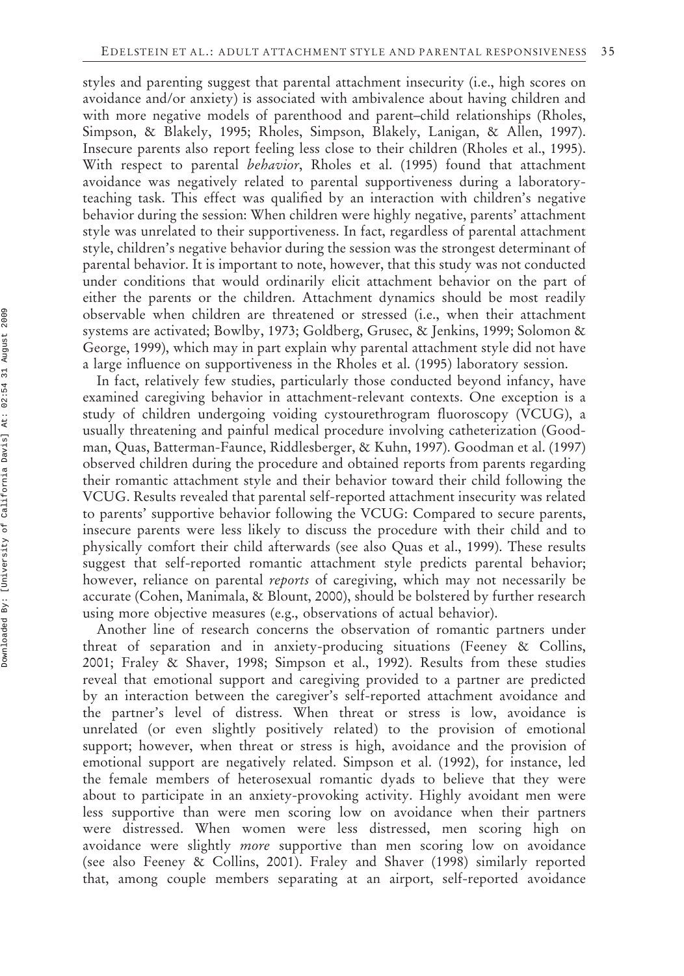styles and parenting suggest that parental attachment insecurity (i.e., high scores on avoidance and/or anxiety) is associated with ambivalence about having children and with more negative models of parenthood and parent–child relationships (Rholes, Simpson, & Blakely, 1995; Rholes, Simpson, Blakely, Lanigan, & Allen, 1997). Insecure parents also report feeling less close to their children (Rholes et al., 1995). With respect to parental *behavior*, Rholes et al. (1995) found that attachment avoidance was negatively related to parental supportiveness during a laboratoryteaching task. This effect was qualified by an interaction with children's negative behavior during the session: When children were highly negative, parents' attachment style was unrelated to their supportiveness. In fact, regardless of parental attachment style, children's negative behavior during the session was the strongest determinant of parental behavior. It is important to note, however, that this study was not conducted under conditions that would ordinarily elicit attachment behavior on the part of either the parents or the children. Attachment dynamics should be most readily observable when children are threatened or stressed (i.e., when their attachment systems are activated; Bowlby, 1973; Goldberg, Grusec, & Jenkins, 1999; Solomon & George, 1999), which may in part explain why parental attachment style did not have a large influence on supportiveness in the Rholes et al. (1995) laboratory session.

In fact, relatively few studies, particularly those conducted beyond infancy, have examined caregiving behavior in attachment-relevant contexts. One exception is a study of children undergoing voiding cystourethrogram fluoroscopy (VCUG), a usually threatening and painful medical procedure involving catheterization (Goodman, Quas, Batterman-Faunce, Riddlesberger, & Kuhn, 1997). Goodman et al. (1997) observed children during the procedure and obtained reports from parents regarding their romantic attachment style and their behavior toward their child following the VCUG. Results revealed that parental self-reported attachment insecurity was related to parents' supportive behavior following the VCUG: Compared to secure parents, insecure parents were less likely to discuss the procedure with their child and to physically comfort their child afterwards (see also Quas et al., 1999). These results suggest that self-reported romantic attachment style predicts parental behavior; however, reliance on parental *reports* of caregiving, which may not necessarily be accurate (Cohen, Manimala, & Blount, 2000), should be bolstered by further research using more objective measures (e.g., observations of actual behavior).

Another line of research concerns the observation of romantic partners under threat of separation and in anxiety-producing situations (Feeney & Collins, 2001; Fraley & Shaver, 1998; Simpson et al., 1992). Results from these studies reveal that emotional support and caregiving provided to a partner are predicted by an interaction between the caregiver's self-reported attachment avoidance and the partner's level of distress. When threat or stress is low, avoidance is unrelated (or even slightly positively related) to the provision of emotional support; however, when threat or stress is high, avoidance and the provision of emotional support are negatively related. Simpson et al. (1992), for instance, led the female members of heterosexual romantic dyads to believe that they were about to participate in an anxiety-provoking activity. Highly avoidant men were less supportive than were men scoring low on avoidance when their partners were distressed. When women were less distressed, men scoring high on avoidance were slightly more supportive than men scoring low on avoidance (see also Feeney & Collins, 2001). Fraley and Shaver (1998) similarly reported that, among couple members separating at an airport, self-reported avoidance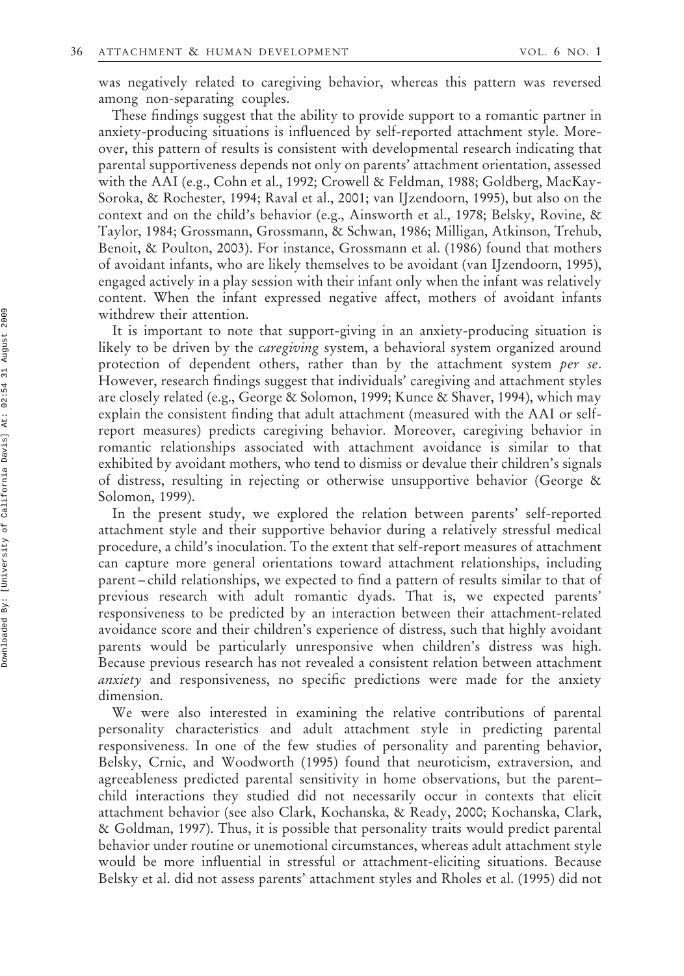was negatively related to caregiving behavior, whereas this pattern was reversed among non-separating couples.

These findings suggest that the ability to provide support to a romantic partner in anxiety-producing situations is influenced by self-reported attachment style. Moreover, this pattern of results is consistent with developmental research indicating that parental supportiveness depends not only on parents' attachment orientation, assessed with the AAI (e.g., Cohn et al., 1992; Crowell & Feldman, 1988; Goldberg, MacKay-Soroka, & Rochester, 1994; Raval et al., 2001; van IJzendoorn, 1995), but also on the context and on the child's behavior (e.g., Ainsworth et al., 1978; Belsky, Rovine, & Taylor, 1984; Grossmann, Grossmann, & Schwan, 1986; Milligan, Atkinson, Trehub, Benoit, & Poulton, 2003). For instance, Grossmann et al. (1986) found that mothers of avoidant infants, who are likely themselves to be avoidant (van IJzendoorn, 1995), engaged actively in a play session with their infant only when the infant was relatively content. When the infant expressed negative affect, mothers of avoidant infants withdrew their attention.

It is important to note that support-giving in an anxiety-producing situation is likely to be driven by the *caregiving* system, a behavioral system organized around protection of dependent others, rather than by the attachment system per se. However, research findings suggest that individuals' caregiving and attachment styles are closely related (e.g., George & Solomon, 1999; Kunce & Shaver, 1994), which may explain the consistent finding that adult attachment (measured with the AAI or selfreport measures) predicts caregiving behavior. Moreover, caregiving behavior in romantic relationships associated with attachment avoidance is similar to that exhibited by avoidant mothers, who tend to dismiss or devalue their children's signals of distress, resulting in rejecting or otherwise unsupportive behavior (George & Solomon, 1999).

In the present study, we explored the relation between parents' self-reported attachment style and their supportive behavior during a relatively stressful medical procedure, a child's inoculation. To the extent that self-report measures of attachment can capture more general orientations toward attachment relationships, including parent – child relationships, we expected to find a pattern of results similar to that of previous research with adult romantic dyads. That is, we expected parents' responsiveness to be predicted by an interaction between their attachment-related avoidance score and their children's experience of distress, such that highly avoidant parents would be particularly unresponsive when children's distress was high. Because previous research has not revealed a consistent relation between attachment anxiety and responsiveness, no specific predictions were made for the anxiety dimension.

We were also interested in examining the relative contributions of parental personality characteristics and adult attachment style in predicting parental responsiveness. In one of the few studies of personality and parenting behavior, Belsky, Crnic, and Woodworth (1995) found that neuroticism, extraversion, and agreeableness predicted parental sensitivity in home observations, but the parent– child interactions they studied did not necessarily occur in contexts that elicit attachment behavior (see also Clark, Kochanska, & Ready, 2000; Kochanska, Clark, & Goldman, 1997). Thus, it is possible that personality traits would predict parental behavior under routine or unemotional circumstances, whereas adult attachment style would be more influential in stressful or attachment-eliciting situations. Because Belsky et al. did not assess parents' attachment styles and Rholes et al. (1995) did not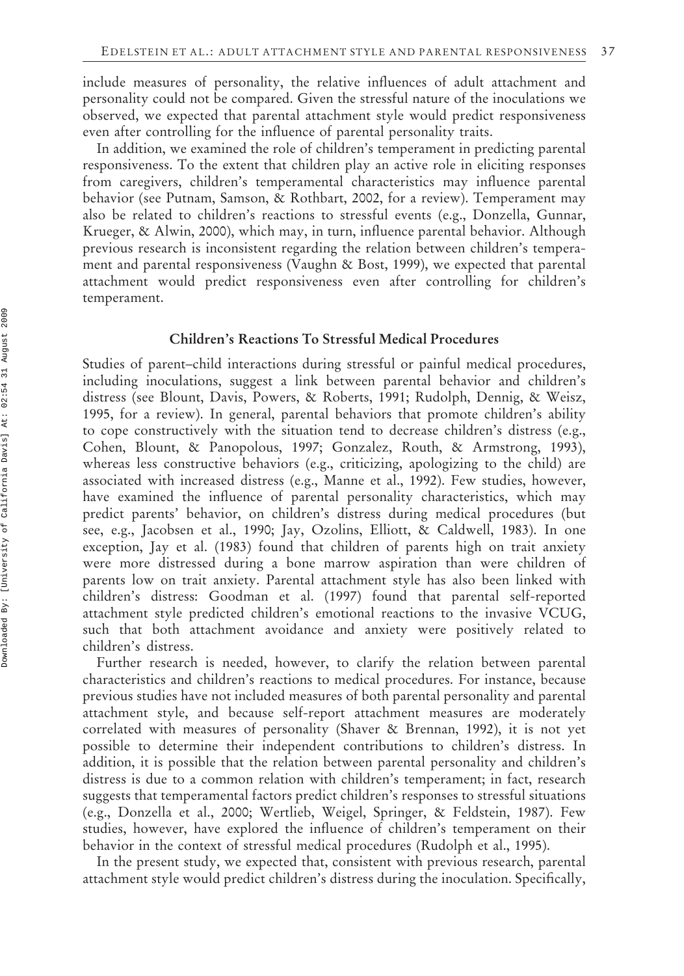include measures of personality, the relative influences of adult attachment and personality could not be compared. Given the stressful nature of the inoculations we observed, we expected that parental attachment style would predict responsiveness even after controlling for the influence of parental personality traits.

In addition, we examined the role of children's temperament in predicting parental responsiveness. To the extent that children play an active role in eliciting responses from caregivers, children's temperamental characteristics may influence parental behavior (see Putnam, Samson, & Rothbart, 2002, for a review). Temperament may also be related to children's reactions to stressful events (e.g., Donzella, Gunnar, Krueger, & Alwin, 2000), which may, in turn, influence parental behavior. Although previous research is inconsistent regarding the relation between children's temperament and parental responsiveness (Vaughn & Bost, 1999), we expected that parental attachment would predict responsiveness even after controlling for children's temperament.

#### Children's Reactions To Stressful Medical Procedures

Studies of parent–child interactions during stressful or painful medical procedures, including inoculations, suggest a link between parental behavior and children's distress (see Blount, Davis, Powers, & Roberts, 1991; Rudolph, Dennig, & Weisz, 1995, for a review). In general, parental behaviors that promote children's ability to cope constructively with the situation tend to decrease children's distress (e.g., Cohen, Blount, & Panopolous, 1997; Gonzalez, Routh, & Armstrong, 1993), whereas less constructive behaviors (e.g., criticizing, apologizing to the child) are associated with increased distress (e.g., Manne et al., 1992). Few studies, however, have examined the influence of parental personality characteristics, which may predict parents' behavior, on children's distress during medical procedures (but see, e.g., Jacobsen et al., 1990; Jay, Ozolins, Elliott, & Caldwell, 1983). In one exception, Jay et al. (1983) found that children of parents high on trait anxiety were more distressed during a bone marrow aspiration than were children of parents low on trait anxiety. Parental attachment style has also been linked with children's distress: Goodman et al. (1997) found that parental self-reported attachment style predicted children's emotional reactions to the invasive VCUG, such that both attachment avoidance and anxiety were positively related to children's distress.

Further research is needed, however, to clarify the relation between parental characteristics and children's reactions to medical procedures. For instance, because previous studies have not included measures of both parental personality and parental attachment style, and because self-report attachment measures are moderately correlated with measures of personality (Shaver & Brennan, 1992), it is not yet possible to determine their independent contributions to children's distress. In addition, it is possible that the relation between parental personality and children's distress is due to a common relation with children's temperament; in fact, research suggests that temperamental factors predict children's responses to stressful situations (e.g., Donzella et al., 2000; Wertlieb, Weigel, Springer, & Feldstein, 1987). Few studies, however, have explored the influence of children's temperament on their behavior in the context of stressful medical procedures (Rudolph et al., 1995).

In the present study, we expected that, consistent with previous research, parental attachment style would predict children's distress during the inoculation. Specifically,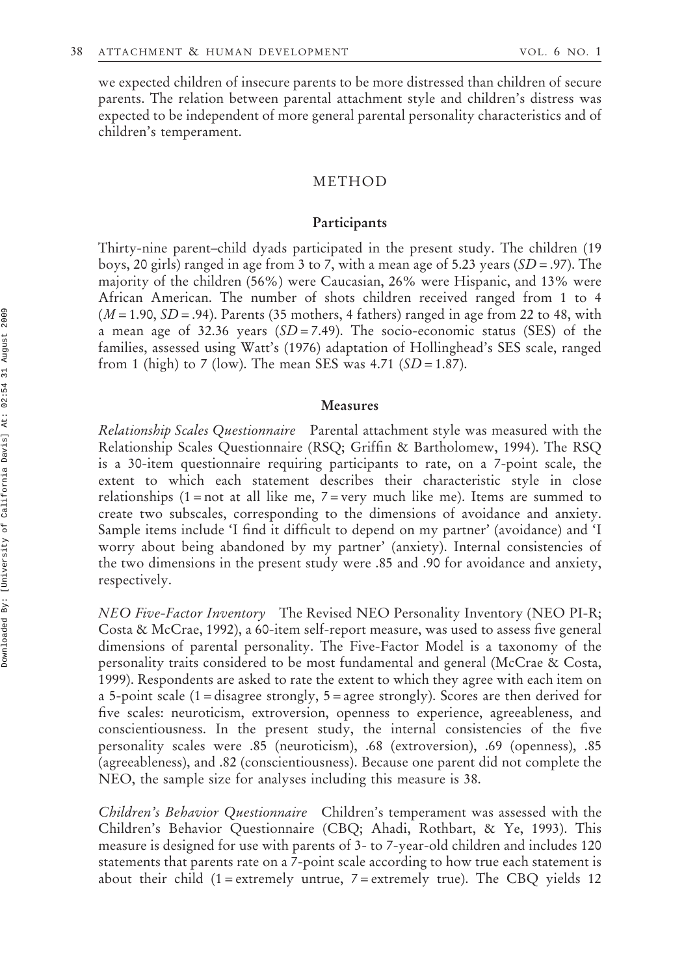we expected children of insecure parents to be more distressed than children of secure parents. The relation between parental attachment style and children's distress was expected to be independent of more general parental personality characteristics and of children's temperament.

#### METHOD

#### Participants

Thirty-nine parent–child dyads participated in the present study. The children (19 boys, 20 girls) ranged in age from 3 to 7, with a mean age of 5.23 years  $(SD = .97)$ . The majority of the children (56%) were Caucasian, 26% were Hispanic, and 13% were African American. The number of shots children received ranged from 1 to 4  $(M=1.90, SD=.94)$ . Parents (35 mothers, 4 fathers) ranged in age from 22 to 48, with a mean age of 32.36 years  $(SD = 7.49)$ . The socio-economic status (SES) of the families, assessed using Watt's (1976) adaptation of Hollinghead's SES scale, ranged from 1 (high) to 7 (low). The mean SES was 4.71 ( $SD = 1.87$ ).

#### Measures

Relationship Scales Questionnaire Parental attachment style was measured with the Relationship Scales Questionnaire (RSQ; Griffin & Bartholomew, 1994). The RSQ is a 30-item questionnaire requiring participants to rate, on a 7-point scale, the extent to which each statement describes their characteristic style in close relationships  $(1 = not at all like me, 7 = very much like me)$ . Items are summed to create two subscales, corresponding to the dimensions of avoidance and anxiety. Sample items include 'I find it difficult to depend on my partner' (avoidance) and 'I worry about being abandoned by my partner' (anxiety). Internal consistencies of the two dimensions in the present study were .85 and .90 for avoidance and anxiety, respectively.

NEO Five-Factor Inventory The Revised NEO Personality Inventory (NEO PI-R; Costa & McCrae, 1992), a 60-item self-report measure, was used to assess five general dimensions of parental personality. The Five-Factor Model is a taxonomy of the personality traits considered to be most fundamental and general (McCrae & Costa, 1999). Respondents are asked to rate the extent to which they agree with each item on a 5-point scale  $(1 = \text{disagree strongly}, 5 = \text{agree strongly})$ . Scores are then derived for five scales: neuroticism, extroversion, openness to experience, agreeableness, and conscientiousness. In the present study, the internal consistencies of the five personality scales were .85 (neuroticism), .68 (extroversion), .69 (openness), .85 (agreeableness), and .82 (conscientiousness). Because one parent did not complete the NEO, the sample size for analyses including this measure is 38.

Children's Behavior Questionnaire Children's temperament was assessed with the Children's Behavior Questionnaire (CBQ; Ahadi, Rothbart, & Ye, 1993). This measure is designed for use with parents of 3- to 7-year-old children and includes 120 statements that parents rate on a 7-point scale according to how true each statement is about their child  $(1 =$  extremely untrue,  $7 =$  extremely true). The CBQ yields 12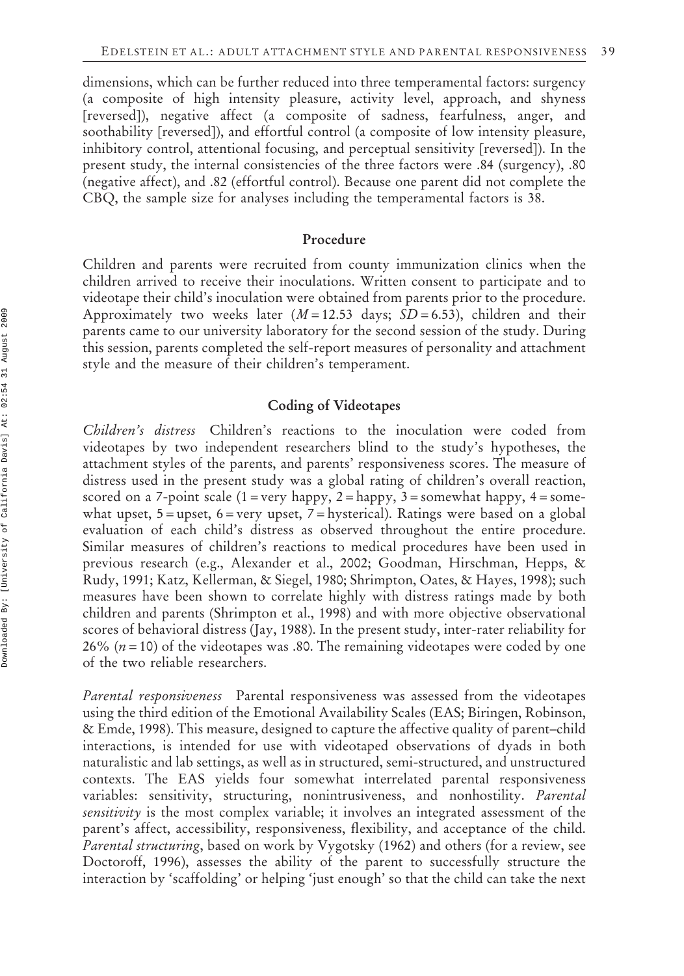dimensions, which can be further reduced into three temperamental factors: surgency (a composite of high intensity pleasure, activity level, approach, and shyness [reversed]), negative affect (a composite of sadness, fearfulness, anger, and soothability [reversed]), and effortful control (a composite of low intensity pleasure, inhibitory control, attentional focusing, and perceptual sensitivity [reversed]). In the present study, the internal consistencies of the three factors were .84 (surgency), .80 (negative affect), and .82 (effortful control). Because one parent did not complete the CBQ, the sample size for analyses including the temperamental factors is 38.

#### Procedure

Children and parents were recruited from county immunization clinics when the children arrived to receive their inoculations. Written consent to participate and to videotape their child's inoculation were obtained from parents prior to the procedure. Approximately two weeks later ( $M = 12.53$  days;  $SD = 6.53$ ), children and their parents came to our university laboratory for the second session of the study. During this session, parents completed the self-report measures of personality and attachment style and the measure of their children's temperament.

#### Coding of Videotapes

Children's distress Children's reactions to the inoculation were coded from videotapes by two independent researchers blind to the study's hypotheses, the attachment styles of the parents, and parents' responsiveness scores. The measure of distress used in the present study was a global rating of children's overall reaction, scored on a 7-point scale (1 = very happy, 2 = happy, 3 = somewhat happy,  $4 =$  somewhat upset,  $5 =$  upset,  $6 =$  very upset,  $7 =$  hysterical). Ratings were based on a global evaluation of each child's distress as observed throughout the entire procedure. Similar measures of children's reactions to medical procedures have been used in previous research (e.g., Alexander et al., 2002; Goodman, Hirschman, Hepps, & Rudy, 1991; Katz, Kellerman, & Siegel, 1980; Shrimpton, Oates, & Hayes, 1998); such measures have been shown to correlate highly with distress ratings made by both children and parents (Shrimpton et al., 1998) and with more objective observational scores of behavioral distress (Jay, 1988). In the present study, inter-rater reliability for 26% ( $n = 10$ ) of the videotapes was .80. The remaining videotapes were coded by one of the two reliable researchers.

Parental responsiveness Parental responsiveness was assessed from the videotapes using the third edition of the Emotional Availability Scales (EAS; Biringen, Robinson, & Emde, 1998). This measure, designed to capture the affective quality of parent–child interactions, is intended for use with videotaped observations of dyads in both naturalistic and lab settings, as well as in structured, semi-structured, and unstructured contexts. The EAS yields four somewhat interrelated parental responsiveness variables: sensitivity, structuring, nonintrusiveness, and nonhostility. Parental sensitivity is the most complex variable; it involves an integrated assessment of the parent's affect, accessibility, responsiveness, flexibility, and acceptance of the child. Parental structuring, based on work by Vygotsky (1962) and others (for a review, see Doctoroff, 1996), assesses the ability of the parent to successfully structure the interaction by 'scaffolding' or helping 'just enough' so that the child can take the next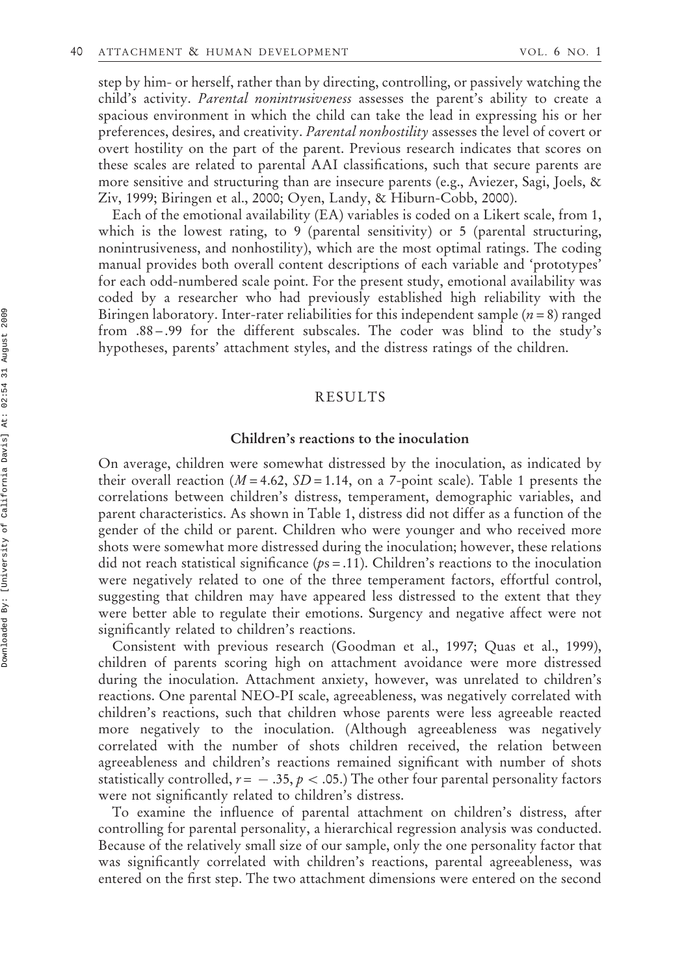step by him- or herself, rather than by directing, controlling, or passively watching the child's activity. *Parental nonintrusiveness* assesses the parent's ability to create a spacious environment in which the child can take the lead in expressing his or her preferences, desires, and creativity. Parental nonhostility assesses the level of covert or overt hostility on the part of the parent. Previous research indicates that scores on these scales are related to parental AAI classifications, such that secure parents are more sensitive and structuring than are insecure parents (e.g., Aviezer, Sagi, Joels, & Ziv, 1999; Biringen et al., 2000; Oyen, Landy, & Hiburn-Cobb, 2000).

Each of the emotional availability (EA) variables is coded on a Likert scale, from 1, which is the lowest rating, to 9 (parental sensitivity) or 5 (parental structuring, nonintrusiveness, and nonhostility), which are the most optimal ratings. The coding manual provides both overall content descriptions of each variable and 'prototypes' for each odd-numbered scale point. For the present study, emotional availability was coded by a researcher who had previously established high reliability with the Biringen laboratory. Inter-rater reliabilities for this independent sample  $(n = 8)$  ranged from .88 – .99 for the different subscales. The coder was blind to the study's hypotheses, parents' attachment styles, and the distress ratings of the children.

#### RESULTS

#### Children's reactions to the inoculation

On average, children were somewhat distressed by the inoculation, as indicated by their overall reaction ( $M = 4.62$ ,  $SD = 1.14$ , on a 7-point scale). Table 1 presents the correlations between children's distress, temperament, demographic variables, and parent characteristics. As shown in Table 1, distress did not differ as a function of the gender of the child or parent. Children who were younger and who received more shots were somewhat more distressed during the inoculation; however, these relations did not reach statistical significance ( $ps = .11$ ). Children's reactions to the inoculation were negatively related to one of the three temperament factors, effortful control, suggesting that children may have appeared less distressed to the extent that they were better able to regulate their emotions. Surgency and negative affect were not significantly related to children's reactions.

Consistent with previous research (Goodman et al., 1997; Quas et al., 1999), children of parents scoring high on attachment avoidance were more distressed during the inoculation. Attachment anxiety, however, was unrelated to children's reactions. One parental NEO-PI scale, agreeableness, was negatively correlated with children's reactions, such that children whose parents were less agreeable reacted more negatively to the inoculation. (Although agreeableness was negatively correlated with the number of shots children received, the relation between agreeableness and children's reactions remained significant with number of shots statistically controlled,  $r = -0.35$ ,  $p < 0.05$ .) The other four parental personality factors were not significantly related to children's distress.

To examine the influence of parental attachment on children's distress, after controlling for parental personality, a hierarchical regression analysis was conducted. Because of the relatively small size of our sample, only the one personality factor that was significantly correlated with children's reactions, parental agreeableness, was entered on the first step. The two attachment dimensions were entered on the second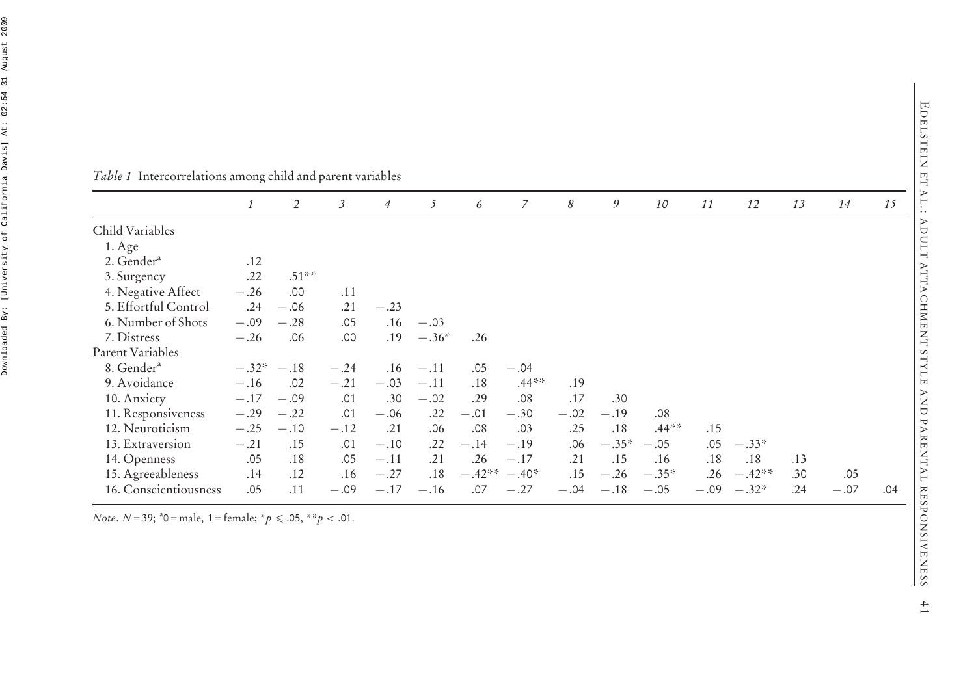|                        | $\mathcal{I}$ | $\overline{2}$ | 3      | $\overline{4}$ | 5       | 6        | 7       | 8      | 9       | 10      | 11     | 12       | 13  | 14     | 15  |
|------------------------|---------------|----------------|--------|----------------|---------|----------|---------|--------|---------|---------|--------|----------|-----|--------|-----|
| Child Variables        |               |                |        |                |         |          |         |        |         |         |        |          |     |        |     |
| $1. \text{Age}$        |               |                |        |                |         |          |         |        |         |         |        |          |     |        |     |
| 2. Gender <sup>a</sup> | .12           |                |        |                |         |          |         |        |         |         |        |          |     |        |     |
| 3. Surgency            | .22           | $.51**$        |        |                |         |          |         |        |         |         |        |          |     |        |     |
| 4. Negative Affect     | $-.26$        | .00            | .11    |                |         |          |         |        |         |         |        |          |     |        |     |
| 5. Effortful Control   | .24           | $-.06$         | .21    | $-.23$         |         |          |         |        |         |         |        |          |     |        |     |
| 6. Number of Shots     | $-.09$        | $-.28$         | .05    | .16            | $-.03$  |          |         |        |         |         |        |          |     |        |     |
| 7. Distress            | $-.26$        | .06            | .00    | .19            | $-.36*$ | .26      |         |        |         |         |        |          |     |        |     |
| Parent Variables       |               |                |        |                |         |          |         |        |         |         |        |          |     |        |     |
| 8. Gender <sup>a</sup> | $-.32*$       | $-.18$         | $-.24$ | .16            | $-.11$  | .05      | $-.04$  |        |         |         |        |          |     |        |     |
| 9. Avoidance           | $-.16$        | .02            | $-.21$ | $-.03$         | $-.11$  | .18      | $.44**$ | .19    |         |         |        |          |     |        |     |
| 10. Anxiety            | $-.17$        | $-.09$         | .01    | .30            | $-.02$  | .29      | .08     | .17    | .30     |         |        |          |     |        |     |
| 11. Responsiveness     | $-.29$        | $-.22$         | .01    | $-.06$         | .22     | $-.01$   | $-.30$  | $-.02$ | $-.19$  | .08     |        |          |     |        |     |
| 12. Neuroticism        | $-.25$        | $-.10$         | $-.12$ | .21            | .06     | .08      | .03     | .25    | .18     | $.44**$ | .15    |          |     |        |     |
| 13. Extraversion       | $-.21$        | .15            | .01    | $-.10$         | .22     | $-.14$   | $-.19$  | .06    | $-.35*$ | $-.05$  | .05    | $-.33*$  |     |        |     |
| 14. Openness           | .05           | .18            | .05    | $-.11$         | .21     | .26      | $-.17$  | .21    | .15     | .16     | .18    | .18      | .13 |        |     |
| 15. Agreeableness      | .14           | .12            | .16    | $-.27$         | .18     | $-.42**$ | $-.40*$ | .15    | $-.26$  | $-.35*$ | .26    | $-.42**$ | .30 | .05    |     |
| 16. Conscientiousness  | .05           | .11            | $-.09$ | $-.17$         | $-.16$  | .07      | $-.27$  | $-.04$ | $-.18$  | $-.05$  | $-.09$ | $-.32*$  | .24 | $-.07$ | .04 |
|                        |               |                |        |                |         |          |         |        |         |         |        |          |     |        |     |

Table 1 Intercorrelations among child and parent variables

*Note. N* = 39; <sup>a</sup>0 = male, 1 = female; \* $p \leq .05$ , \*\* $p < .01$ .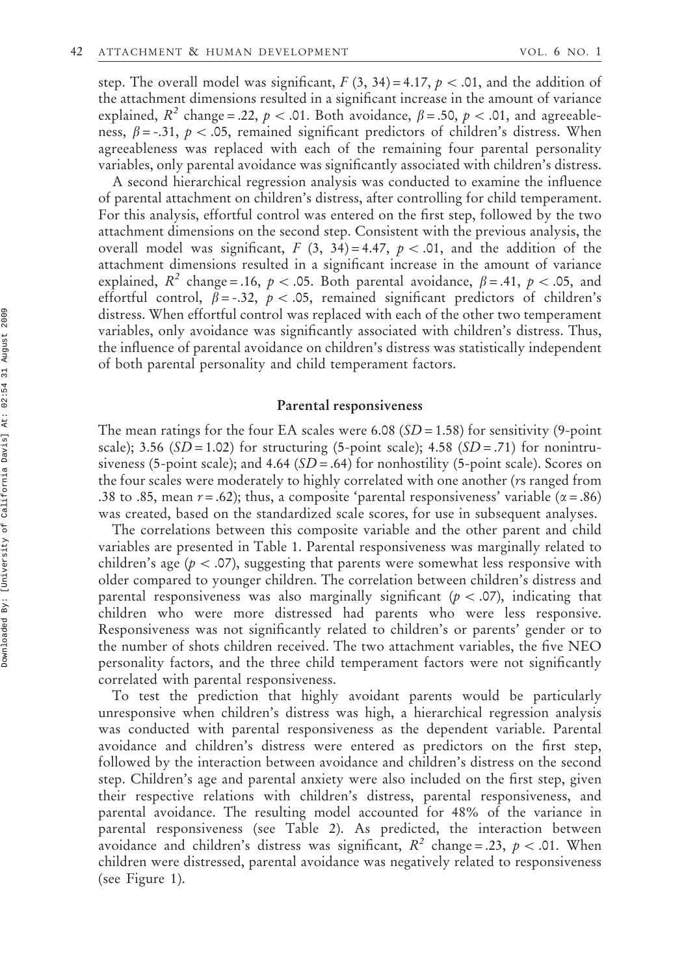step. The overall model was significant,  $F(3, 34) = 4.17$ ,  $p < .01$ , and the addition of the attachment dimensions resulted in a significant increase in the amount of variance explained,  $R^2$  change = .22,  $p < .01$ . Both avoidance,  $\beta = .50$ ,  $p < .01$ , and agreeableness,  $\beta$  = -.31, p < .05, remained significant predictors of children's distress. When agreeableness was replaced with each of the remaining four parental personality variables, only parental avoidance was significantly associated with children's distress.

A second hierarchical regression analysis was conducted to examine the influence of parental attachment on children's distress, after controlling for child temperament. For this analysis, effortful control was entered on the first step, followed by the two attachment dimensions on the second step. Consistent with the previous analysis, the overall model was significant, F  $(3, 34) = 4.47$ ,  $p < .01$ , and the addition of the attachment dimensions resulted in a significant increase in the amount of variance explained,  $R^2$  change = .16,  $p < .05$ . Both parental avoidance,  $\beta = .41$ ,  $p < .05$ , and effortful control,  $\beta = -0.32$ ,  $p < 0.05$ , remained significant predictors of children's distress. When effortful control was replaced with each of the other two temperament variables, only avoidance was significantly associated with children's distress. Thus, the influence of parental avoidance on children's distress was statistically independent of both parental personality and child temperament factors.

#### Parental responsiveness

The mean ratings for the four EA scales were 6.08  $(SD = 1.58)$  for sensitivity (9-point scale); 3.56 ( $SD = 1.02$ ) for structuring (5-point scale); 4.58 ( $SD = .71$ ) for nonintrusiveness (5-point scale); and 4.64 ( $SD = .64$ ) for nonhostility (5-point scale). Scores on the four scales were moderately to highly correlated with one another (rs ranged from .38 to .85, mean  $r = .62$ ); thus, a composite 'parental responsiveness' variable ( $\alpha = .86$ ) was created, based on the standardized scale scores, for use in subsequent analyses.

The correlations between this composite variable and the other parent and child variables are presented in Table 1. Parental responsiveness was marginally related to children's age ( $p < .07$ ), suggesting that parents were somewhat less responsive with older compared to younger children. The correlation between children's distress and parental responsiveness was also marginally significant ( $p < .07$ ), indicating that children who were more distressed had parents who were less responsive. Responsiveness was not significantly related to children's or parents' gender or to the number of shots children received. The two attachment variables, the five NEO personality factors, and the three child temperament factors were not significantly correlated with parental responsiveness.

To test the prediction that highly avoidant parents would be particularly unresponsive when children's distress was high, a hierarchical regression analysis was conducted with parental responsiveness as the dependent variable. Parental avoidance and children's distress were entered as predictors on the first step, followed by the interaction between avoidance and children's distress on the second step. Children's age and parental anxiety were also included on the first step, given their respective relations with children's distress, parental responsiveness, and parental avoidance. The resulting model accounted for 48% of the variance in parental responsiveness (see Table 2). As predicted, the interaction between avoidance and children's distress was significant,  $R^2$  change = .23,  $p < .01$ . When children were distressed, parental avoidance was negatively related to responsiveness (see Figure 1).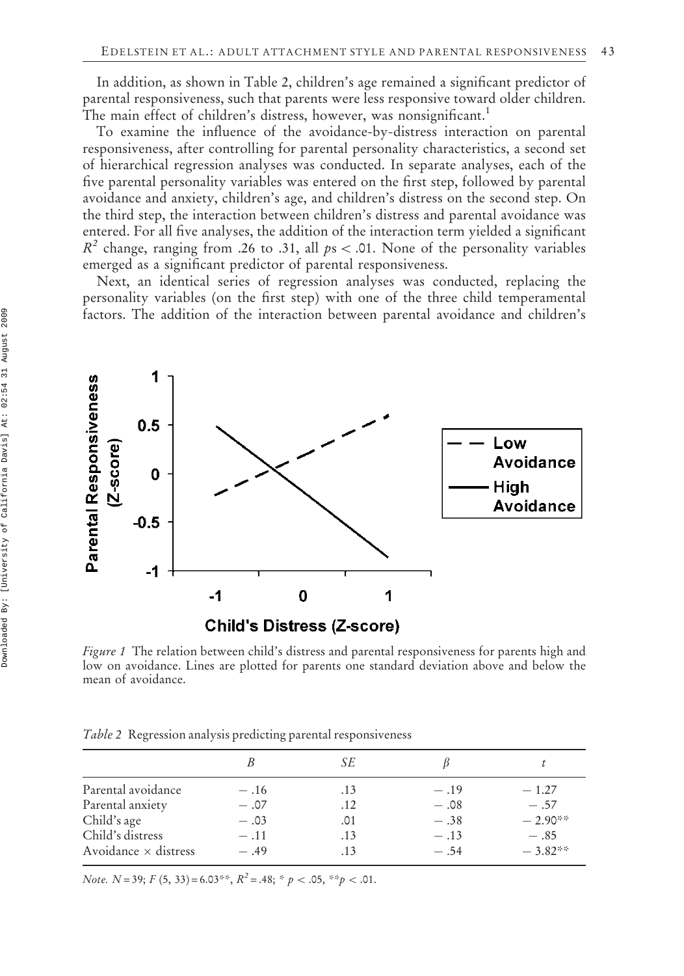In addition, as shown in Table 2, children's age remained a significant predictor of parental responsiveness, such that parents were less responsive toward older children. The main effect of children's distress, however, was nonsignificant.<sup>1</sup>

To examine the influence of the avoidance-by-distress interaction on parental responsiveness, after controlling for parental personality characteristics, a second set of hierarchical regression analyses was conducted. In separate analyses, each of the five parental personality variables was entered on the first step, followed by parental avoidance and anxiety, children's age, and children's distress on the second step. On the third step, the interaction between children's distress and parental avoidance was entered. For all five analyses, the addition of the interaction term yielded a significant  $R^2$  change, ranging from .26 to .31, all ps < .01. None of the personality variables emerged as a significant predictor of parental responsiveness.

Next, an identical series of regression analyses was conducted, replacing the personality variables (on the first step) with one of the three child temperamental factors. The addition of the interaction between parental avoidance and children's



Figure 1 The relation between child's distress and parental responsiveness for parents high and low on avoidance. Lines are plotted for parents one standard deviation above and below the mean of avoidance.

|  |  | <i>Table</i> 2 Regression analysis predicting parental responsiveness |
|--|--|-----------------------------------------------------------------------|
|  |  |                                                                       |

|                             |        | SЕ  |        |           |
|-----------------------------|--------|-----|--------|-----------|
| Parental avoidance          | $-.16$ | .13 | $-.19$ | $-1.27$   |
| Parental anxiety            | $-.07$ | .12 | $-.08$ | $-.57$    |
| Child's age                 | $-.03$ | .01 | $-.38$ | $-2.90**$ |
| Child's distress            | $-.11$ | .13 | $-.13$ | $-.85$    |
| Avoidance $\times$ distress | $-.49$ | .13 | $-.54$ | $-3.82**$ |

Note.  $N = 39$ ;  $F (5, 33) = 6.03$ \*\*,  $R^2 = .48$ ; \* $p < .05$ , \*\* $p < .01$ .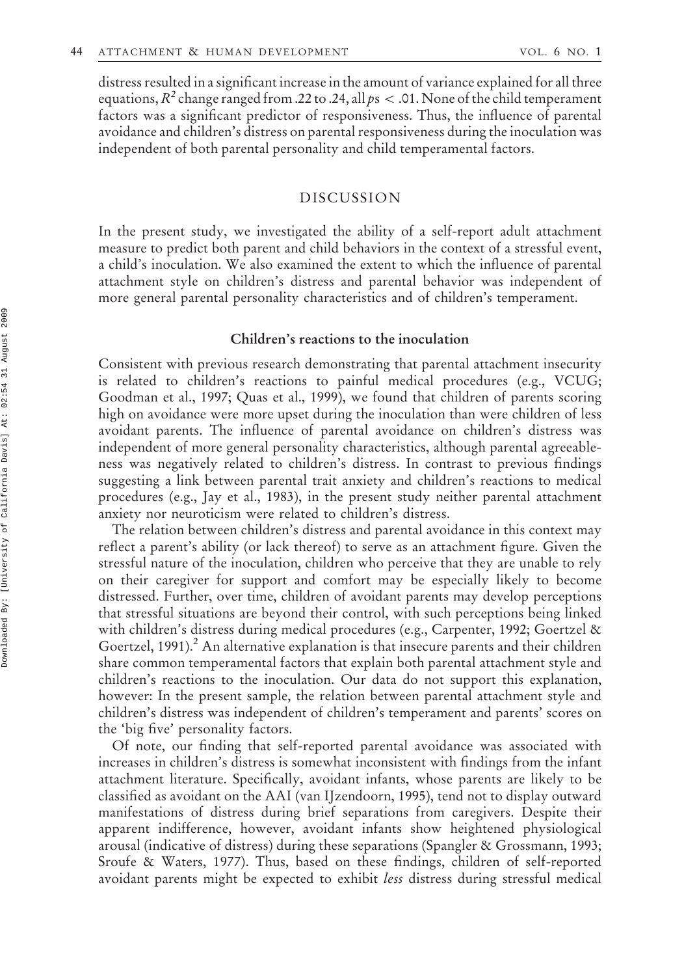distress resulted in a significant increase in the amount of variance explained for all three equations,  $R^2$  change ranged from .22 to .24, all  $ps < .01$ . None of the child temperament factors was a significant predictor of responsiveness. Thus, the influence of parental avoidance and children's distress on parental responsiveness during the inoculation was independent of both parental personality and child temperamental factors.

#### DISCUSSION

In the present study, we investigated the ability of a self-report adult attachment measure to predict both parent and child behaviors in the context of a stressful event, a child's inoculation. We also examined the extent to which the influence of parental attachment style on children's distress and parental behavior was independent of more general parental personality characteristics and of children's temperament.

#### Children's reactions to the inoculation

Consistent with previous research demonstrating that parental attachment insecurity is related to children's reactions to painful medical procedures (e.g., VCUG; Goodman et al., 1997; Quas et al., 1999), we found that children of parents scoring high on avoidance were more upset during the inoculation than were children of less avoidant parents. The influence of parental avoidance on children's distress was independent of more general personality characteristics, although parental agreeableness was negatively related to children's distress. In contrast to previous findings suggesting a link between parental trait anxiety and children's reactions to medical procedures (e.g., Jay et al., 1983), in the present study neither parental attachment anxiety nor neuroticism were related to children's distress.

The relation between children's distress and parental avoidance in this context may reflect a parent's ability (or lack thereof) to serve as an attachment figure. Given the stressful nature of the inoculation, children who perceive that they are unable to rely on their caregiver for support and comfort may be especially likely to become distressed. Further, over time, children of avoidant parents may develop perceptions that stressful situations are beyond their control, with such perceptions being linked with children's distress during medical procedures (e.g., Carpenter, 1992; Goertzel & Goertzel,  $1991$ .<sup>2</sup> An alternative explanation is that insecure parents and their children share common temperamental factors that explain both parental attachment style and children's reactions to the inoculation. Our data do not support this explanation, however: In the present sample, the relation between parental attachment style and children's distress was independent of children's temperament and parents' scores on the 'big five' personality factors.

Of note, our finding that self-reported parental avoidance was associated with increases in children's distress is somewhat inconsistent with findings from the infant attachment literature. Specifically, avoidant infants, whose parents are likely to be classified as avoidant on the AAI (van IJzendoorn, 1995), tend not to display outward manifestations of distress during brief separations from caregivers. Despite their apparent indifference, however, avoidant infants show heightened physiological arousal (indicative of distress) during these separations (Spangler & Grossmann, 1993; Sroufe & Waters, 1977). Thus, based on these findings, children of self-reported avoidant parents might be expected to exhibit less distress during stressful medical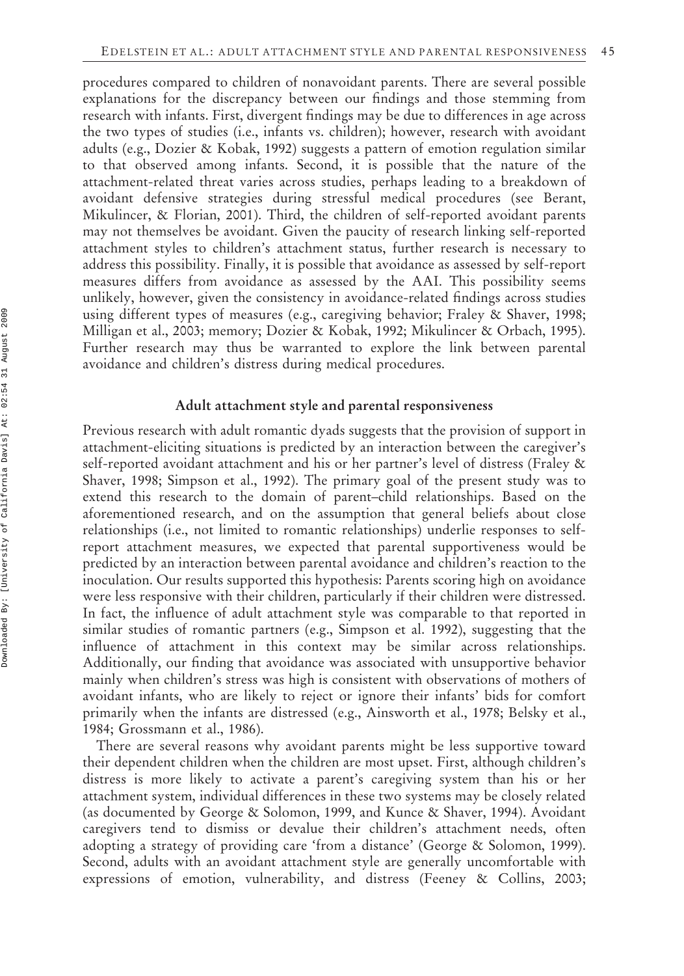procedures compared to children of nonavoidant parents. There are several possible explanations for the discrepancy between our findings and those stemming from research with infants. First, divergent findings may be due to differences in age across the two types of studies (i.e., infants vs. children); however, research with avoidant adults (e.g., Dozier & Kobak, 1992) suggests a pattern of emotion regulation similar to that observed among infants. Second, it is possible that the nature of the attachment-related threat varies across studies, perhaps leading to a breakdown of avoidant defensive strategies during stressful medical procedures (see Berant, Mikulincer, & Florian, 2001). Third, the children of self-reported avoidant parents may not themselves be avoidant. Given the paucity of research linking self-reported attachment styles to children's attachment status, further research is necessary to address this possibility. Finally, it is possible that avoidance as assessed by self-report measures differs from avoidance as assessed by the AAI. This possibility seems unlikely, however, given the consistency in avoidance-related findings across studies using different types of measures (e.g., caregiving behavior; Fraley & Shaver, 1998; Milligan et al., 2003; memory; Dozier & Kobak, 1992; Mikulincer & Orbach, 1995). Further research may thus be warranted to explore the link between parental avoidance and children's distress during medical procedures.

#### Adult attachment style and parental responsiveness

Previous research with adult romantic dyads suggests that the provision of support in attachment-eliciting situations is predicted by an interaction between the caregiver's self-reported avoidant attachment and his or her partner's level of distress (Fraley & Shaver, 1998; Simpson et al., 1992). The primary goal of the present study was to extend this research to the domain of parent–child relationships. Based on the aforementioned research, and on the assumption that general beliefs about close relationships (i.e., not limited to romantic relationships) underlie responses to selfreport attachment measures, we expected that parental supportiveness would be predicted by an interaction between parental avoidance and children's reaction to the inoculation. Our results supported this hypothesis: Parents scoring high on avoidance were less responsive with their children, particularly if their children were distressed. In fact, the influence of adult attachment style was comparable to that reported in similar studies of romantic partners (e.g., Simpson et al. 1992), suggesting that the influence of attachment in this context may be similar across relationships. Additionally, our finding that avoidance was associated with unsupportive behavior mainly when children's stress was high is consistent with observations of mothers of avoidant infants, who are likely to reject or ignore their infants' bids for comfort primarily when the infants are distressed (e.g., Ainsworth et al., 1978; Belsky et al., 1984; Grossmann et al., 1986).

There are several reasons why avoidant parents might be less supportive toward their dependent children when the children are most upset. First, although children's distress is more likely to activate a parent's caregiving system than his or her attachment system, individual differences in these two systems may be closely related (as documented by George & Solomon, 1999, and Kunce & Shaver, 1994). Avoidant caregivers tend to dismiss or devalue their children's attachment needs, often adopting a strategy of providing care 'from a distance' (George & Solomon, 1999). Second, adults with an avoidant attachment style are generally uncomfortable with expressions of emotion, vulnerability, and distress (Feeney & Collins, 2003;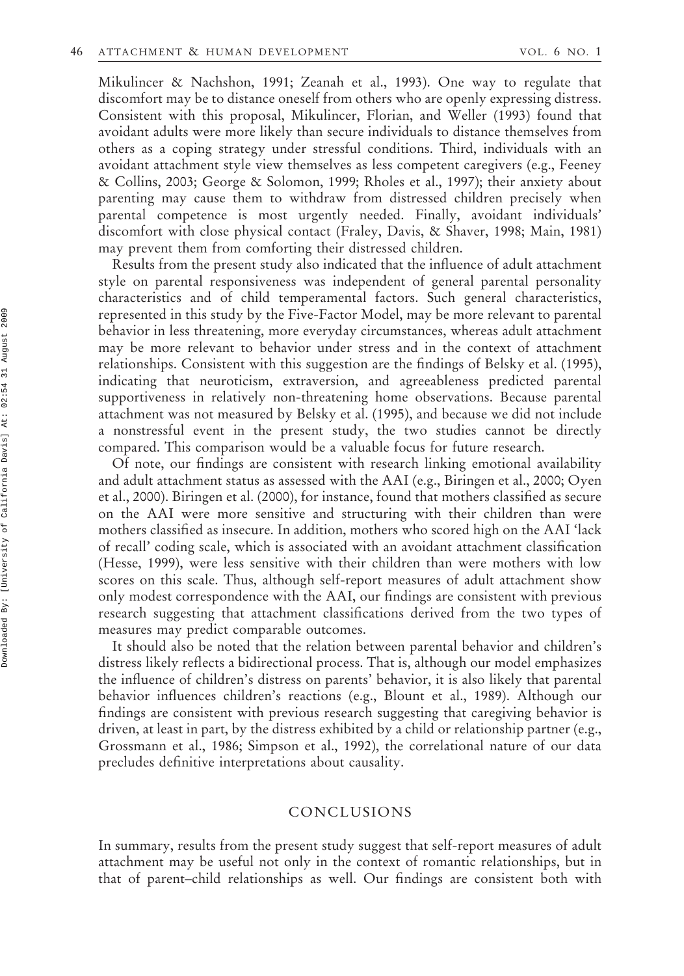Mikulincer & Nachshon, 1991; Zeanah et al., 1993). One way to regulate that discomfort may be to distance oneself from others who are openly expressing distress. Consistent with this proposal, Mikulincer, Florian, and Weller (1993) found that avoidant adults were more likely than secure individuals to distance themselves from others as a coping strategy under stressful conditions. Third, individuals with an avoidant attachment style view themselves as less competent caregivers (e.g., Feeney & Collins, 2003; George & Solomon, 1999; Rholes et al., 1997); their anxiety about parenting may cause them to withdraw from distressed children precisely when parental competence is most urgently needed. Finally, avoidant individuals' discomfort with close physical contact (Fraley, Davis, & Shaver, 1998; Main, 1981) may prevent them from comforting their distressed children.

Results from the present study also indicated that the influence of adult attachment style on parental responsiveness was independent of general parental personality characteristics and of child temperamental factors. Such general characteristics, represented in this study by the Five-Factor Model, may be more relevant to parental behavior in less threatening, more everyday circumstances, whereas adult attachment may be more relevant to behavior under stress and in the context of attachment relationships. Consistent with this suggestion are the findings of Belsky et al. (1995), indicating that neuroticism, extraversion, and agreeableness predicted parental supportiveness in relatively non-threatening home observations. Because parental attachment was not measured by Belsky et al. (1995), and because we did not include a nonstressful event in the present study, the two studies cannot be directly compared. This comparison would be a valuable focus for future research.

Of note, our findings are consistent with research linking emotional availability and adult attachment status as assessed with the AAI (e.g., Biringen et al., 2000; Oyen et al., 2000). Biringen et al. (2000), for instance, found that mothers classified as secure on the AAI were more sensitive and structuring with their children than were mothers classified as insecure. In addition, mothers who scored high on the AAI 'lack of recall' coding scale, which is associated with an avoidant attachment classification (Hesse, 1999), were less sensitive with their children than were mothers with low scores on this scale. Thus, although self-report measures of adult attachment show only modest correspondence with the AAI, our findings are consistent with previous research suggesting that attachment classifications derived from the two types of measures may predict comparable outcomes.

It should also be noted that the relation between parental behavior and children's distress likely reflects a bidirectional process. That is, although our model emphasizes the influence of children's distress on parents' behavior, it is also likely that parental behavior influences children's reactions (e.g., Blount et al., 1989). Although our findings are consistent with previous research suggesting that caregiving behavior is driven, at least in part, by the distress exhibited by a child or relationship partner (e.g., Grossmann et al., 1986; Simpson et al., 1992), the correlational nature of our data precludes definitive interpretations about causality.

#### CONCLUSIONS

In summary, results from the present study suggest that self-report measures of adult attachment may be useful not only in the context of romantic relationships, but in that of parent–child relationships as well. Our findings are consistent both with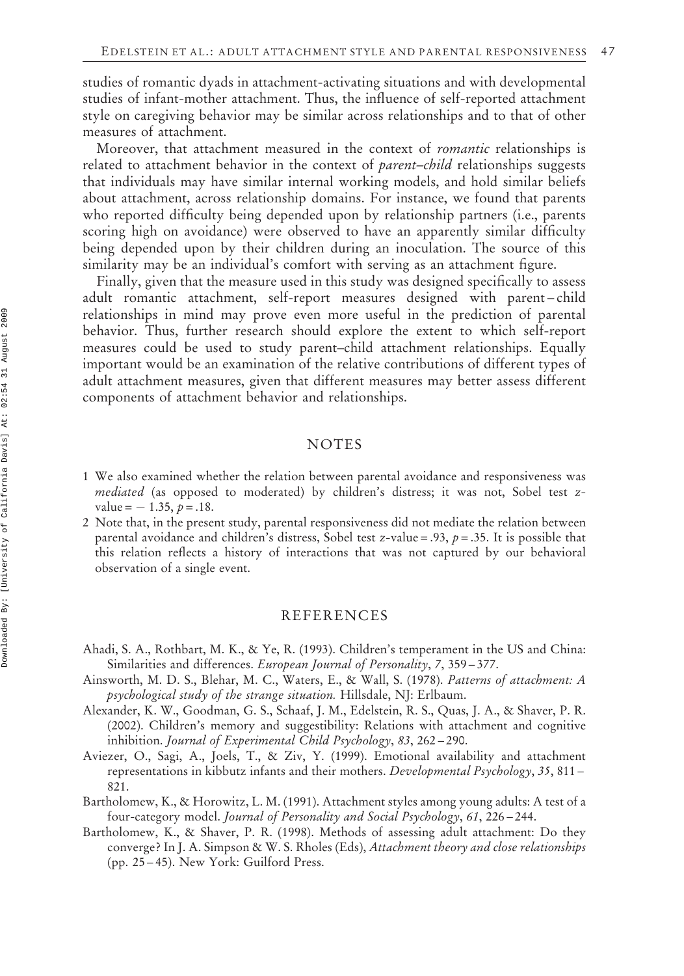studies of romantic dyads in attachment-activating situations and with developmental studies of infant-mother attachment. Thus, the influence of self-reported attachment style on caregiving behavior may be similar across relationships and to that of other measures of attachment.

Moreover, that attachment measured in the context of *romantic* relationships is related to attachment behavior in the context of *parent–child* relationships suggests that individuals may have similar internal working models, and hold similar beliefs about attachment, across relationship domains. For instance, we found that parents who reported difficulty being depended upon by relationship partners (i.e., parents scoring high on avoidance) were observed to have an apparently similar difficulty being depended upon by their children during an inoculation. The source of this similarity may be an individual's comfort with serving as an attachment figure.

Finally, given that the measure used in this study was designed specifically to assess adult romantic attachment, self-report measures designed with parent – child relationships in mind may prove even more useful in the prediction of parental behavior. Thus, further research should explore the extent to which self-report measures could be used to study parent–child attachment relationships. Equally important would be an examination of the relative contributions of different types of adult attachment measures, given that different measures may better assess different components of attachment behavior and relationships.

#### NOTES

- 1 We also examined whether the relation between parental avoidance and responsiveness was mediated (as opposed to moderated) by children's distress; it was not, Sobel test zvalue =  $-1.35, p = .18$ .
- 2 Note that, in the present study, parental responsiveness did not mediate the relation between parental avoidance and children's distress, Sobel test z-value = .93,  $p = .35$ . It is possible that this relation reflects a history of interactions that was not captured by our behavioral observation of a single event.

#### **REFERENCES**

- Ahadi, S. A., Rothbart, M. K., & Ye, R. (1993). Children's temperament in the US and China: Similarities and differences. European Journal of Personality, 7, 359 – 377.
- Ainsworth, M. D. S., Blehar, M. C., Waters, E., & Wall, S. (1978). Patterns of attachment: A psychological study of the strange situation. Hillsdale, NJ: Erlbaum.
- Alexander, K. W., Goodman, G. S., Schaaf, J. M., Edelstein, R. S., Quas, J. A., & Shaver, P. R. (2002). Children's memory and suggestibility: Relations with attachment and cognitive inhibition. Journal of Experimental Child Psychology, 83, 262 – 290.
- Aviezer, O., Sagi, A., Joels, T., & Ziv, Y. (1999). Emotional availability and attachment representations in kibbutz infants and their mothers. Developmental Psychology, 35, 811 – 821.
- Bartholomew, K., & Horowitz, L. M. (1991). Attachment styles among young adults: A test of a four-category model. Journal of Personality and Social Psychology, 61, 226 – 244.
- Bartholomew, K., & Shaver, P. R. (1998). Methods of assessing adult attachment: Do they converge? In J. A. Simpson & W. S. Rholes (Eds), Attachment theory and close relationships (pp. 25 – 45). New York: Guilford Press.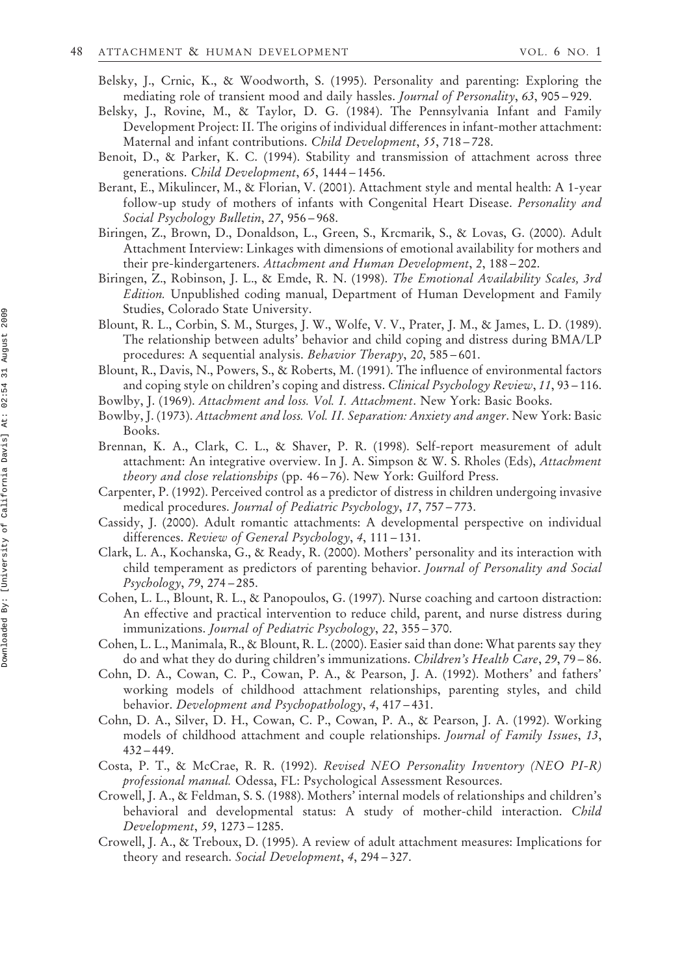- Belsky, J., Crnic, K., & Woodworth, S. (1995). Personality and parenting: Exploring the mediating role of transient mood and daily hassles. Journal of Personality, 63, 905 – 929.
- Belsky, J., Rovine, M., & Taylor, D. G. (1984). The Pennsylvania Infant and Family Development Project: II. The origins of individual differences in infant-mother attachment: Maternal and infant contributions. Child Development, 55, 718 – 728.
- Benoit, D., & Parker, K. C. (1994). Stability and transmission of attachment across three generations. Child Development, 65, 1444 – 1456.
- Berant, E., Mikulincer, M., & Florian, V. (2001). Attachment style and mental health: A 1-year follow-up study of mothers of infants with Congenital Heart Disease. Personality and Social Psychology Bulletin, 27, 956 – 968.
- Biringen, Z., Brown, D., Donaldson, L., Green, S., Krcmarik, S., & Lovas, G. (2000). Adult Attachment Interview: Linkages with dimensions of emotional availability for mothers and their pre-kindergarteners. Attachment and Human Development, 2, 188 – 202.
- Biringen, Z., Robinson, J. L., & Emde, R. N. (1998). The Emotional Availability Scales, 3rd Edition. Unpublished coding manual, Department of Human Development and Family Studies, Colorado State University.
- Blount, R. L., Corbin, S. M., Sturges, J. W., Wolfe, V. V., Prater, J. M., & James, L. D. (1989). The relationship between adults' behavior and child coping and distress during BMA/LP procedures: A sequential analysis. Behavior Therapy, 20, 585 – 601.
- Blount, R., Davis, N., Powers, S., & Roberts, M. (1991). The influence of environmental factors and coping style on children's coping and distress. Clinical Psychology Review, 11, 93 – 116.
- Bowlby, J. (1969). Attachment and loss. Vol. I. Attachment. New York: Basic Books.
- Bowlby, J. (1973). Attachment and loss. Vol. II. Separation: Anxiety and anger. New York: Basic Books.
- Brennan, K. A., Clark, C. L., & Shaver, P. R. (1998). Self-report measurement of adult attachment: An integrative overview. In J. A. Simpson & W. S. Rholes (Eds), Attachment theory and close relationships (pp. 46 – 76). New York: Guilford Press.
- Carpenter, P. (1992). Perceived control as a predictor of distress in children undergoing invasive medical procedures. Journal of Pediatric Psychology, 17, 757 – 773.
- Cassidy, J. (2000). Adult romantic attachments: A developmental perspective on individual differences. Review of General Psychology, 4, 111 – 131.
- Clark, L. A., Kochanska, G., & Ready, R. (2000). Mothers' personality and its interaction with child temperament as predictors of parenting behavior. Journal of Personality and Social Psychology, 79, 274 – 285.
- Cohen, L. L., Blount, R. L., & Panopoulos, G. (1997). Nurse coaching and cartoon distraction: An effective and practical intervention to reduce child, parent, and nurse distress during immunizations. Journal of Pediatric Psychology, 22, 355 – 370.
- Cohen, L. L., Manimala, R., & Blount, R. L. (2000). Easier said than done: What parents say they do and what they do during children's immunizations. Children's Health Care, 29, 79 – 86.
- Cohn, D. A., Cowan, C. P., Cowan, P. A., & Pearson, J. A. (1992). Mothers' and fathers' working models of childhood attachment relationships, parenting styles, and child behavior. Development and Psychopathology, 4, 417 – 431.
- Cohn, D. A., Silver, D. H., Cowan, C. P., Cowan, P. A., & Pearson, J. A. (1992). Working models of childhood attachment and couple relationships. Journal of Family Issues, 13,  $432 - 449.$
- Costa, P. T., & McCrae, R. R. (1992). Revised NEO Personality Inventory (NEO PI-R) professional manual. Odessa, FL: Psychological Assessment Resources.
- Crowell, J. A., & Feldman, S. S. (1988). Mothers' internal models of relationships and children's behavioral and developmental status: A study of mother-child interaction. Child Development, 59, 1273 – 1285.
- Crowell, J. A., & Treboux, D. (1995). A review of adult attachment measures: Implications for theory and research. Social Development, 4, 294 – 327.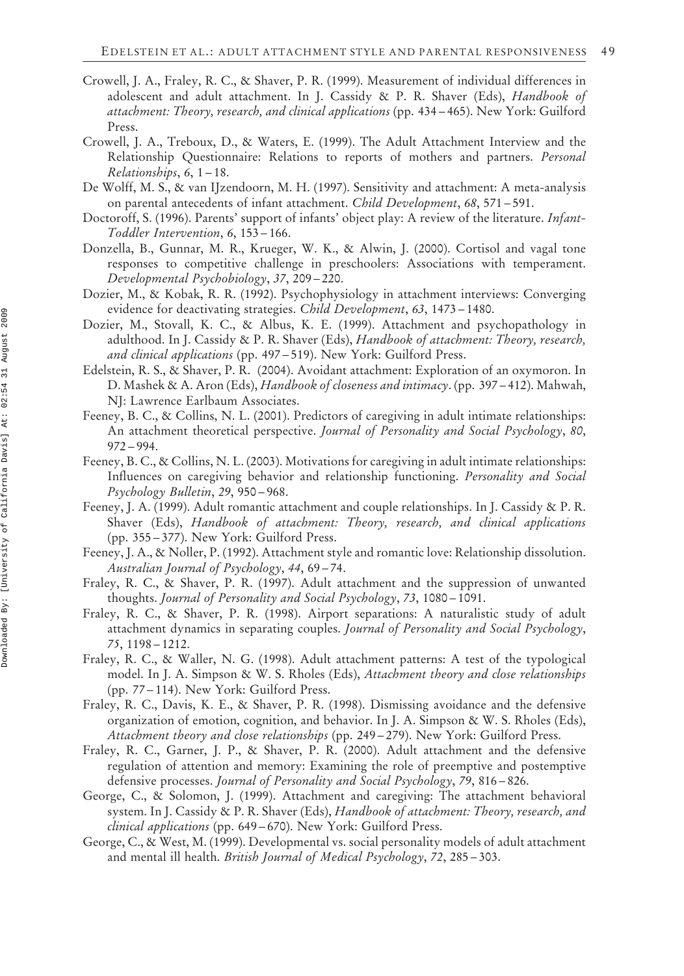- Crowell, J. A., Fraley, R. C., & Shaver, P. R. (1999). Measurement of individual differences in adolescent and adult attachment. In J. Cassidy & P. R. Shaver (Eds), Handbook of attachment: Theory, research, and clinical applications (pp. 434 – 465). New York: Guilford Press.
- Crowell, J. A., Treboux, D., & Waters, E. (1999). The Adult Attachment Interview and the Relationship Questionnaire: Relations to reports of mothers and partners. Personal  $Relationships, 6, 1-18.$
- De Wolff, M. S., & van IJzendoorn, M. H. (1997). Sensitivity and attachment: A meta-analysis on parental antecedents of infant attachment. Child Development, 68, 571 – 591.
- Doctoroff, S. (1996). Parents' support of infants' object play: A review of the literature. Infant-Toddler Intervention, 6, 153 – 166.
- Donzella, B., Gunnar, M. R., Krueger, W. K., & Alwin, J. (2000). Cortisol and vagal tone responses to competitive challenge in preschoolers: Associations with temperament. Developmental Psychobiology, 37, 209 – 220.
- Dozier, M., & Kobak, R. R. (1992). Psychophysiology in attachment interviews: Converging evidence for deactivating strategies. Child Development, 63, 1473 – 1480.
- Dozier, M., Stovall, K. C., & Albus, K. E. (1999). Attachment and psychopathology in adulthood. In J. Cassidy & P. R. Shaver (Eds), *Handbook of attachment: Theory, research*, and clinical applications (pp. 497 – 519). New York: Guilford Press.
- Edelstein, R. S., & Shaver, P. R. (2004). Avoidant attachment: Exploration of an oxymoron. In D. Mashek & A. Aron (Eds), *Handbook of closeness and intimacy*. (pp. 397–412). Mahwah, NJ: Lawrence Earlbaum Associates.
- Feeney, B. C., & Collins, N. L. (2001). Predictors of caregiving in adult intimate relationships: An attachment theoretical perspective. Journal of Personality and Social Psychology, 80, 972 – 994.
- Feeney, B. C., & Collins, N. L. (2003). Motivations for caregiving in adult intimate relationships: Influences on caregiving behavior and relationship functioning. Personality and Social Psychology Bulletin, 29, 950-968.
- Feeney, J. A. (1999). Adult romantic attachment and couple relationships. In J. Cassidy & P. R. Shaver (Eds), Handbook of attachment: Theory, research, and clinical applications (pp. 355 – 377). New York: Guilford Press.
- Feeney, J. A., & Noller, P. (1992). Attachment style and romantic love: Relationship dissolution. Australian Journal of Psychology, 44, 69 – 74.
- Fraley, R. C., & Shaver, P. R. (1997). Adult attachment and the suppression of unwanted thoughts. Journal of Personality and Social Psychology, 73, 1080 – 1091.
- Fraley, R. C., & Shaver, P. R. (1998). Airport separations: A naturalistic study of adult attachment dynamics in separating couples. Journal of Personality and Social Psychology, 75, 1198 – 1212.
- Fraley, R. C., & Waller, N. G. (1998). Adult attachment patterns: A test of the typological model. In J. A. Simpson & W. S. Rholes (Eds), Attachment theory and close relationships (pp. 77 – 114). New York: Guilford Press.
- Fraley, R. C., Davis, K. E., & Shaver, P. R. (1998). Dismissing avoidance and the defensive organization of emotion, cognition, and behavior. In J. A. Simpson & W. S. Rholes (Eds), Attachment theory and close relationships (pp. 249 – 279). New York: Guilford Press.
- Fraley, R. C., Garner, J. P., & Shaver, P. R. (2000). Adult attachment and the defensive regulation of attention and memory: Examining the role of preemptive and postemptive defensive processes. Journal of Personality and Social Psychology, 79, 816-826.
- George, C., & Solomon, J. (1999). Attachment and caregiving: The attachment behavioral system. In J. Cassidy & P. R. Shaver (Eds), Handbook of attachment: Theory, research, and clinical applications (pp. 649 – 670). New York: Guilford Press.
- George, C., & West, M. (1999). Developmental vs. social personality models of adult attachment and mental ill health. British Journal of Medical Psychology, 72, 285 – 303.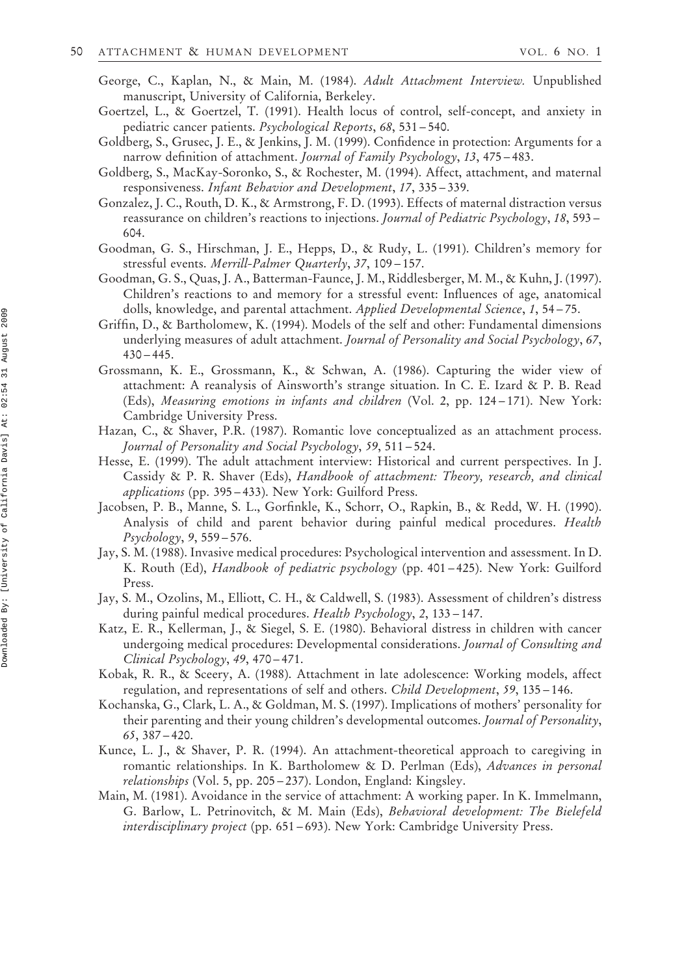- George, C., Kaplan, N., & Main, M. (1984). Adult Attachment Interview. Unpublished manuscript, University of California, Berkeley.
- Goertzel, L., & Goertzel, T. (1991). Health locus of control, self-concept, and anxiety in pediatric cancer patients. Psychological Reports, 68, 531 – 540.
- Goldberg, S., Grusec, J. E., & Jenkins, J. M. (1999). Confidence in protection: Arguments for a narrow definition of attachment. Journal of Family Psychology, 13, 475-483.
- Goldberg, S., MacKay-Soronko, S., & Rochester, M. (1994). Affect, attachment, and maternal responsiveness. Infant Behavior and Development, 17, 335 – 339.
- Gonzalez, J. C., Routh, D. K., & Armstrong, F. D. (1993). Effects of maternal distraction versus reassurance on children's reactions to injections. Journal of Pediatric Psychology, 18, 593 – 604.
- Goodman, G. S., Hirschman, J. E., Hepps, D., & Rudy, L. (1991). Children's memory for stressful events. Merrill-Palmer Quarterly, 37, 109 – 157.
- Goodman, G. S., Quas, J. A., Batterman-Faunce, J. M., Riddlesberger, M. M., & Kuhn, J. (1997). Children's reactions to and memory for a stressful event: Influences of age, anatomical dolls, knowledge, and parental attachment. Applied Developmental Science, 1, 54 – 75.
- Griffin, D., & Bartholomew, K. (1994). Models of the self and other: Fundamental dimensions underlying measures of adult attachment. *Journal of Personality and Social Psychology*, 67, 430 – 445.
- Grossmann, K. E., Grossmann, K., & Schwan, A. (1986). Capturing the wider view of attachment: A reanalysis of Ainsworth's strange situation. In C. E. Izard & P. B. Read (Eds), Measuring emotions in infants and children (Vol. 2, pp. 124 – 171). New York: Cambridge University Press.
- Hazan, C., & Shaver, P.R. (1987). Romantic love conceptualized as an attachment process. Journal of Personality and Social Psychology, 59, 511 – 524.
- Hesse, E. (1999). The adult attachment interview: Historical and current perspectives. In J. Cassidy & P. R. Shaver (Eds), Handbook of attachment: Theory, research, and clinical applications (pp. 395 – 433). New York: Guilford Press.
- Jacobsen, P. B., Manne, S. L., Gorfinkle, K., Schorr, O., Rapkin, B., & Redd, W. H. (1990). Analysis of child and parent behavior during painful medical procedures. Health Psychology, 9, 559 – 576.
- Jay, S. M. (1988). Invasive medical procedures: Psychological intervention and assessment. In D. K. Routh (Ed), *Handbook of pediatric psychology* (pp. 401–425). New York: Guilford Press.
- Jay, S. M., Ozolins, M., Elliott, C. H., & Caldwell, S. (1983). Assessment of children's distress during painful medical procedures. Health Psychology, 2, 133 – 147.
- Katz, E. R., Kellerman, J., & Siegel, S. E. (1980). Behavioral distress in children with cancer undergoing medical procedures: Developmental considerations. Journal of Consulting and Clinical Psychology, 49, 470 – 471.
- Kobak, R. R., & Sceery, A. (1988). Attachment in late adolescence: Working models, affect regulation, and representations of self and others. Child Development, 59, 135 – 146.
- Kochanska, G., Clark, L. A., & Goldman, M. S. (1997). Implications of mothers' personality for their parenting and their young children's developmental outcomes. Journal of Personality, 65, 387 – 420.
- Kunce, L. J., & Shaver, P. R. (1994). An attachment-theoretical approach to caregiving in romantic relationships. In K. Bartholomew & D. Perlman (Eds), Advances in personal relationships (Vol. 5, pp. 205 – 237). London, England: Kingsley.
- Main, M. (1981). Avoidance in the service of attachment: A working paper. In K. Immelmann, G. Barlow, L. Petrinovitch, & M. Main (Eds), Behavioral development: The Bielefeld interdisciplinary project (pp. 651 – 693). New York: Cambridge University Press.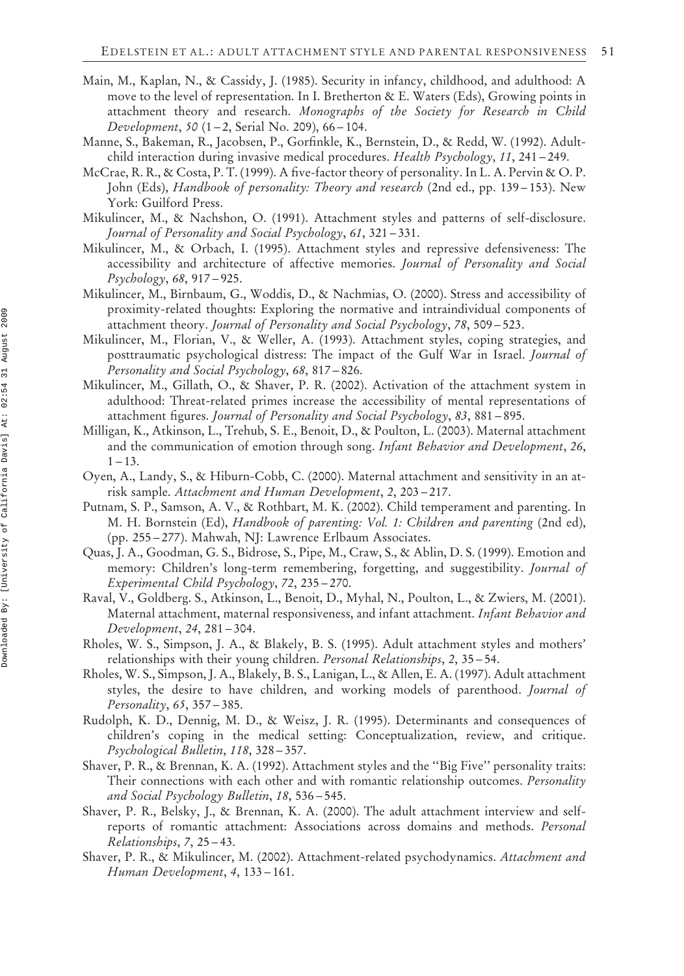- Main, M., Kaplan, N., & Cassidy, J. (1985). Security in infancy, childhood, and adulthood: A move to the level of representation. In I. Bretherton  $\&E$ . Waters (Eds), Growing points in attachment theory and research. Monographs of the Society for Research in Child *Development, 50*  $(1 – 2, Serial No. 209), 66 – 104.$
- Manne, S., Bakeman, R., Jacobsen, P., Gorfinkle, K., Bernstein, D., & Redd, W. (1992). Adultchild interaction during invasive medical procedures. Health Psychology, 11, 241 – 249.
- McCrae, R. R., & Costa, P. T. (1999). A five-factor theory of personality. In L. A. Pervin & O. P. John (Eds), *Handbook of personality: Theory and research* (2nd ed., pp. 139–153). New York: Guilford Press.
- Mikulincer, M., & Nachshon, O. (1991). Attachment styles and patterns of self-disclosure. Journal of Personality and Social Psychology, 61, 321 – 331.
- Mikulincer, M., & Orbach, I. (1995). Attachment styles and repressive defensiveness: The accessibility and architecture of affective memories. Journal of Personality and Social Psychology, 68, 917 – 925.
- Mikulincer, M., Birnbaum, G., Woddis, D., & Nachmias, O. (2000). Stress and accessibility of proximity-related thoughts: Exploring the normative and intraindividual components of attachment theory. Journal of Personality and Social Psychology, 78, 509 – 523.
- Mikulincer, M., Florian, V., & Weller, A. (1993). Attachment styles, coping strategies, and posttraumatic psychological distress: The impact of the Gulf War in Israel. Journal of Personality and Social Psychology, 68, 817 – 826.
- Mikulincer, M., Gillath, O., & Shaver, P. R. (2002). Activation of the attachment system in adulthood: Threat-related primes increase the accessibility of mental representations of attachment figures. Journal of Personality and Social Psychology, 83, 881 – 895.
- Milligan, K., Atkinson, L., Trehub, S. E., Benoit, D., & Poulton, L. (2003). Maternal attachment and the communication of emotion through song. Infant Behavior and Development, 26,  $1 - 13$ .
- Oyen, A., Landy, S., & Hiburn-Cobb, C. (2000). Maternal attachment and sensitivity in an atrisk sample. Attachment and Human Development, 2, 203 – 217.
- Putnam, S. P., Samson, A. V., & Rothbart, M. K. (2002). Child temperament and parenting. In M. H. Bornstein (Ed), Handbook of parenting: Vol. 1: Children and parenting (2nd ed), (pp. 255 – 277). Mahwah, NJ: Lawrence Erlbaum Associates.
- Quas, J. A., Goodman, G. S., Bidrose, S., Pipe, M., Craw, S., & Ablin, D. S. (1999). Emotion and memory: Children's long-term remembering, forgetting, and suggestibility. *Journal of* Experimental Child Psychology, 72, 235 – 270.
- Raval, V., Goldberg. S., Atkinson, L., Benoit, D., Myhal, N., Poulton, L., & Zwiers, M. (2001). Maternal attachment, maternal responsiveness, and infant attachment. *Infant Behavior and* Development, 24, 281 – 304.
- Rholes, W. S., Simpson, J. A., & Blakely, B. S. (1995). Adult attachment styles and mothers' relationships with their young children. Personal Relationships, 2, 35 – 54.
- Rholes, W. S., Simpson, J. A., Blakely, B. S., Lanigan, L., & Allen, E. A. (1997). Adult attachment styles, the desire to have children, and working models of parenthood. Journal of Personality,  $65$ ,  $357 - 385$ .
- Rudolph, K. D., Dennig, M. D., & Weisz, J. R. (1995). Determinants and consequences of children's coping in the medical setting: Conceptualization, review, and critique. Psychological Bulletin, 118, 328 – 357.
- Shaver, P. R., & Brennan, K. A. (1992). Attachment styles and the ''Big Five'' personality traits: Their connections with each other and with romantic relationship outcomes. *Personality* and Social Psychology Bulletin, 18, 536 – 545.
- Shaver, P. R., Belsky, J., & Brennan, K. A. (2000). The adult attachment interview and selfreports of romantic attachment: Associations across domains and methods. Personal Relationships, 7, 25 – 43.
- Shaver, P. R., & Mikulincer, M. (2002). Attachment-related psychodynamics. Attachment and Human Development, 4, 133 – 161.